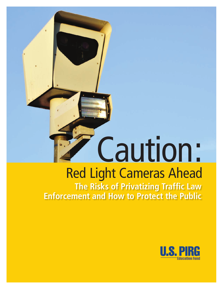# Caution: Red Light Cameras Ahead

**The Risks of Privatizing Traffic Law Enforcement and How to Protect the Public**

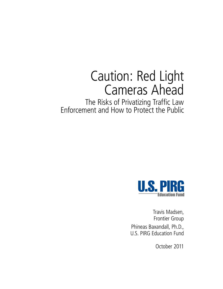# Caution: Red Light Cameras Ahead

The Risks of Privatizing Traffic Law Enforcement and How to Protect the Public



Travis Madsen, Frontier Group Phineas Baxandall, Ph.D., U.S. PIRG Education Fund

October 2011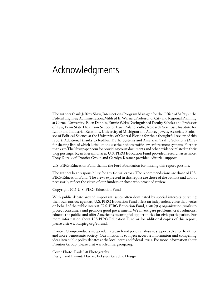# Acknowledgments

The authors thank Jeffrey Shaw, Intersections Program Manager for the Office of Safety at the Federal Highway Administration; Mildred E. Warner, Professor of City and Regional Planning at Cornell University; Ellen Dannin, Fannie Weiss Distinguished Faculty Scholar and Professor of Law, Penn State Dickinson School of Law; Roland Zullo, Research Scientist, Institute for Labor and Industrial Relations, University of Michigan; and Aubrey Jewett, Associate Professor of Political Science at the University of Central Florida for their thoughtful review of this report. Additional thanks to Redflex Traffic Systems and American Traffic Solutions (ATS) for sharing lists of which jurisdictions use their photo traffic law enforcement systems. Further thanks to TheNewspaper.com for providing court documents and other evidence related to their blog postings. Ryan Pierannunzi at U.S. PIRG Education Fund provided research assistance. Tony Dutzik of Frontier Group and Carolyn Kramer provided editorial support.

U.S. PIRG Education Fund thanks the Ford Foundation for making this report possible.

The authors bear responsibility for any factual errors. The recommendations are those of U.S. PIRG Education Fund. The views expressed in this report are those of the authors and do not necessarily reflect the views of our funders or those who provided review.

Copyright 2011 U.S. PIRG Education Fund

With public debate around important issues often dominated by special interests pursuing their own narrow agendas, U.S. PIRG Education Fund offers an independent voice that works on behalf of the public interest. U.S. PIRG Education Fund, a 501(c)(3) organization, works to protect consumers and promote good government. We investigate problems, craft solutions, educate the public, and offer Americans meaningful opportunities for civic participation. For more information about U.S.PIRG Education Fund or for additional copies of this report, please visit www.uspirg.org/edfund.

Frontier Group conducts independent research and policy analysis to support a cleaner, healthier and more democratic society. Our mission is to inject accurate information and compelling ideas into public policy debates at the local, state and federal levels. For more information about Frontier Group, please visit www.frontiergroup.org.

Cover Photo: Paule858 Photography Design and Layout: Harriet Eckstein Graphic Design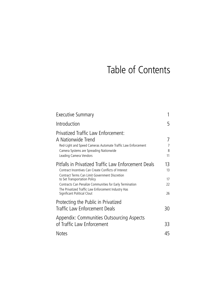# Table of Contents

| Executive Summary                                                                                                                                                                                                                                                                                                                                |                             |
|--------------------------------------------------------------------------------------------------------------------------------------------------------------------------------------------------------------------------------------------------------------------------------------------------------------------------------------------------|-----------------------------|
| Introduction                                                                                                                                                                                                                                                                                                                                     | 5                           |
| Privatized Traffic Law Enforcement:<br>A Nationwide Trend<br>Red-Light and Speed Cameras Automate Traffic Law Enforcement<br>Camera Systems are Spreading Nationwide<br>Leading Camera Vendors                                                                                                                                                   | 7<br>7<br>8<br>11           |
| Pitfalls in Privatized Traffic Law Enforcement Deals<br>Contract Incentives Can Create Conflicts of Interest<br>Contract Terms Can Limit Government Discretion<br>to Set Transportation Policy<br>Contracts Can Penalize Communities for Early Termination<br>The Privatized Traffic Law Enforcement Industry Has<br>Significant Political Clout | 13.<br>13<br>17<br>22<br>26 |
| Protecting the Public in Privatized<br>Traffic Law Enforcement Deals                                                                                                                                                                                                                                                                             | 30                          |
| Appendix: Communities Outsourcing Aspects<br>of Traffic Law Enforcement                                                                                                                                                                                                                                                                          | 33                          |
| <b>Notes</b>                                                                                                                                                                                                                                                                                                                                     | 45                          |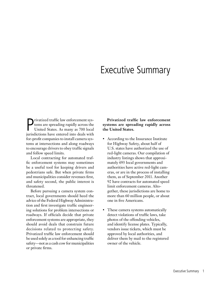# Executive Summary

Privatized traffic law enforcement systems are spreading rapidly across the United States. As many as 700 local jurisdictions have entered into deals with rivatized traffic law enforcement systems are spreading rapidly across the United States. As many as 700 local for-profit companies to install camera systems at intersections and along roadways to encourage drivers to obey traffic signals and follow speed limits.

Local contracting for automated traffic enforcement systems may sometimes be a useful tool for keeping drivers and pedestrians safe. But when private firms and municipalities consider revenues first, and safety second, the public interest is threatened.

Before pursuing a camera system contract, local governments should heed the advice of the Federal Highway Administration and first investigate traffic engineering solutions for problem intersections or roadways. If officials decide that private enforcement systems are appropriate, they should avoid deals that constrain future decisions related to protecting safety. Privatized traffic law enforcement should be used solely as a tool for enhancing traffic safety—not as a cash cow for municipalities or private firms.

**Privatized traffic law enforcement systems are spreading rapidly across the United States.**

- • According to the Insurance Institute for Highway Safety, about half of U.S. states have authorized the use of red-light cameras. Our compilation of industry listings shows that approximately 693 local governments and authorities have active red-light cameras, or are in the process of installing them, as of September 2011. Another 92 have contracts for automated speed limit enforcement cameras. Altogether, these jurisdictions are home to more than 60 million people, or about one in five Americans.
- These camera systems automatically detect violations of traffic laws, take photos of the offending vehicles, and identify license plates. Typically, vendors issue tickets, which must be approved by local authorities, and deliver them by mail to the registered owner of the vehicle.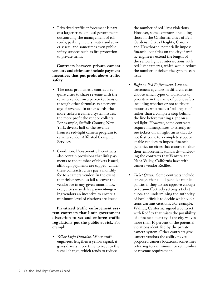• Privatized traffic enforcement is part of a larger trend of local governments outsourcing the management of toll roads, parking meters, water and sewer assets, and sometimes even public safety services such as fire protection to private firms.

**Contracts between private camera vendors and cities can include payment incentives that put profit above traffic safety.**

- The most problematic contracts require cities to share revenue with the camera vendor on a per-ticket basis or through other formulas as a percentage of revenue. In other words, the more tickets a camera system issues, the more profit the vendor collects. For example, Suffolk County, New York, diverts half of the revenue from its red-light camera program to camera vendor Affiliated Computer Services.
- • Conditional "cost-neutral" contracts also contain provisions that link payments to the number of tickets issued, although payments are capped. Under these contracts, cities pay a monthly fee to a camera vendor. In the event that ticket revenues fail to cover the vendor fee in any given month, however, cities may delay payment—giving vendors an incentive to ensure a minimum level of citations are issued.

**Privatized traffic enforcement system contracts that limit government discretion to set and enforce traffic regulations put the public at risk.** For example:

• *Yellow Light Duration.* When traffic engineers lengthen a yellow signal, it gives drivers more time to react to the signal change, which tends to reduce

the number of red-light violations. However, some contracts, including those in the California cities of Bell Gardens, Citrus Heights, Corona and Hawthorne, potentially impose financial penalties on the city if traffic engineers extend the length of the yellow light at intersections with red-light cameras, which would reduce the number of tickets the systems can issue.

- • *Right on Red Enforcement*. Law enforcement agencies in different cities choose which types of violations to prioritize in the name of public safety, including whether or not to ticket motorists who make a "rolling stop" rather than a complete stop behind the line before turning right on a red light. However, some contracts require municipalities to strictly issue tickets on all right turns that do not first come to a complete stop, or enable vendors to impose financial penalties on cities that choose to alter their enforcement standards—including the contracts that Ventura and Napa Valley, California have with camera vendor Redflex.
- • *Ticket Quotas*. Some contracts include language that could penalize municipalities if they do not approve enough tickets—effectively setting a ticket quota and undermining the authority of local officials to decide which violations warrant citations. For example, Walnut, California signed a contract with Redflex that raises the possibility of a financial penalty if the city waives more than 10 percent of the potential violations identified by the private camera system. Other contracts give camera vendors the ability to veto proposed camera locations, sometimes referring to a minimum ticket number or revenue requirement.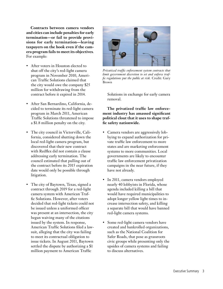**Contracts between camera vendors and cities can include penalties for early termination—or fail to provide provisions for early termination—leaving taxpayers on the hook even if the camera program fails to meet its objectives**. For example:

- After voters in Houston elected to shut off the city's red-light camera program in November 2010, American Traffic Solutions claimed that the city would owe the company \$25 million for withdrawing from the contract before it expired in 2014.
- • After San Bernardino, California, decided to terminate its red-light camera program in March 2011, American Traffic Solutions threatened to impose a \$1.8 million penalty on the city.
- The city council in Victorville, California, considered shutting down the local red-light camera program, but discovered that their new contract with Redflex did not contain a clause addressing early termination. The council estimated that pulling out of the contract before its 2015 expiration date would only be possible through litigation.
- The city of Baytown, Texas, signed a contract through 2019 for a red-light camera system with American Traffic Solutions. However, after voters decided that red-light tickets could not be issued unless a uniformed officer was present at an intersection, the city began waiving many of the citations issued by the system. In response, American Traffic Solutions filed a lawsuit, alleging that the city was failing to meet its contractual obligation to issue tickets. In August 2011, Baytown settled the dispute by authorizing a \$1 million payment to American Traffic



*Privatized traffic enforcement system contracts that limit government discretion to set and enforce traffic regulations put the public at risk.* Credit: Gary Brown

Solutions in exchange for early camera removal.

**The privatized traffic law enforcement industry has amassed significant political clout that it uses to shape traffic safety nationwide.**

- • Camera vendors are aggressively lobbying to expand authorization for private traffic law enforcement to more states and are marketing enforcement systems to more communities. Local governments are likely to encounter traffic law enforcement privatization campaigns in the near future, if they have not already.
- In 2011, camera vendors employed nearly 40 lobbyists in Florida, whose agenda included killing a bill that would have required municipalities to adopt longer yellow light times to increase intersection safety, and killing a separate bill that would have banned red-light camera systems.
- Some red-light camera vendors have created and bankrolled organizations, such as the National Coalition for Safer Roads, that pose as grassroots civic groups while presenting only the upsides of camera systems and failing to discuss alternatives.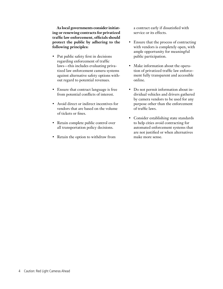**As local governments consider initiating or renewing contracts for privatized traffic law enforcement, officials should protect the public by adhering to the following principles:**

- Put public safety first in decisions regarding enforcement of traffic laws—this includes evaluating privatized law enforcement camera systems against alternative safety options without regard to potential revenues.
- Ensure that contract language is free from potential conflicts of interest.
- Avoid direct or indirect incentives for vendors that are based on the volume of tickets or fines.
- Retain complete public control over all transportation policy decisions.
- • Retain the option to withdraw from

a contract early if dissatisfied with service or its effects.

- • Ensure that the process of contracting with vendors is completely open, with ample opportunity for meaningful public participation.
- Make information about the operation of privatized traffic law enforcement fully transparent and accessible online.
- Do not permit information about individual vehicles and drivers gathered by camera vendors to be used for any purpose other than the enforcement of traffic laws.
- • Consider establishing state standards to help cities avoid contracting for automated enforcement systems that are not justified or when alternatives make more sense.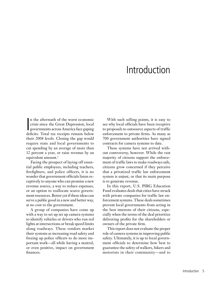# Introduction

In the aftermath of the worst economic<br>crisis since the Great Depression, local<br>governments across America face gaping<br>deficits. Total tax receipts remain below n the aftermath of the worst economic crisis since the Great Depression, local governments across America face gaping their 2008 levels. Closing the gap would require state and local governments to cut spending by an average of more than 12 percent a year, or raise revenue by an equivalent amount.<sup>1</sup>

Facing the prospect of laying off essential public employees, including teachers, firefighters, and police officers, it is no wonder that government officials listen receptively to anyone who can promise a new revenue source, a way to reduce expenses, or an option to reallocate scarce government resources. Better yet if these ideas can serve a public good in a new and better way, at no cost to the government.

A group of companies have come up with a way to set up set up camera systems to identify vehicles or drivers who run red lights at intersections or break speed limits along roadways. These vendors market their systems as increasing road safety and freeing up police officers to do more important work—all while having a neutral, or even positive, impact on government finances.

With such selling points, it is easy to see why local officials have been receptive to proposals to outsource aspects of traffic enforcement to private firms. As many as 700 government authorities have signed contracts for camera systems to date.

These systems have not arrived without controversy, however. While the vast majority of citizens support the enforcement of traffic laws to make roadways safe, citizens grow concerned if they perceive that a privatized traffic law enforcement system is unjust, or that its main purpose is to generate revenue.

In this report, U.S. PIRG Education Fund evaluates deals that cities have struck with private companies for traffic law enforcement systems. These deals sometimes prevent local governments from acting in the best interests of their citizens, especially when the terms of the deal prioritize delivering profits for the shareholders or owners of the private firm.

This report does not evaluate the proper role of camera systems in improving public safety. Ultimately, it is up to local government officials to determine how best to guarantee the safety of walkers, bikers and motorists in their community—and to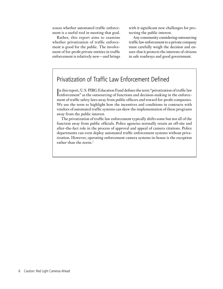assess whether automated traffic enforcement is a useful tool in meeting that goal.

Rather, this report aims to examine whether privatization of traffic enforcement is good for the public. The involvement of for-profit private entities in traffic enforcement is relatively new—and brings with it significant new challenges for protecting the public interest.

Any community considering outsourcing traffic law enforcement to a private company must carefully weigh the decision and ensure that it protects the interests of citizens in safe roadways and good government.

# Privatization of Traffic Law Enforcement Defined

In this report, U.S. PIRG Education Fund defines the term "privatization of traffic law enforcement" as the outsourcing of functions and decision-making in the enforceenforcement" as the outsourcing of functions and decision-making in the enforcement of traffic safety laws away from public officers and toward for-profit companies. We use the term to highlight how the incentives and conditions in contracts with vendors of automated traffic systems can skew the implementation of these programs away from the public interest.

The privatization of traffic law enforcement typically shifts some but not all of the function away from public officials. Police agencies normally retain an off-site and after-the-fact role in the process of approval and appeal of camera citations. Police departments can even deploy automated traffic enforcement systems without privatization. However, operating enforcement camera systems in-house is the exception rather than the norm.<sup>2</sup>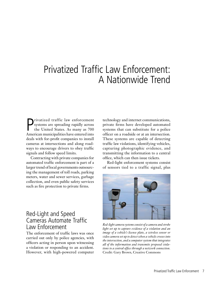# Privatized Traffic Law Enforcement: A Nationwide Trend

Privatized traffic law enforcement<br>systems are spreading rapidly across<br>the United States. As many as 700<br>American municipalities have entered into systems are spreading rapidly across the United States. As many as 700 American municipalities have entered into deals with for-profit companies to install cameras at intersections and along roadways to encourage drivers to obey traffic signals and follow speed limits.

Contracting with private companies for automated traffic enforcement is part of a larger trend of local governments outsourcing the management of toll roads, parking meters, water and sewer services, garbage collection, and even public safety services such as fire protection to private firms.

technology and internet communications, private firms have developed automated systems that can substitute for a police officer on a roadside or at an intersection. These systems are capable of detecting traffic law violations, identifying vehicles, capturing photographic evidence, and transmitting the information to a central office, which can then issue tickets.

Red-light enforcement systems consist of sensors tied to a traffic signal, plus



*Red-light camera systems consist of a camera and strobe light set up to capture evidence of a violation and an image of a vehicle's license plate, a wireless sensor or video camera set up to detect when a vehicle crosses into the intersection, and a computer system that integrates all of the information and transmits proposed violations to a central office through a network connection.*  Credit: Gary Brown, Creative Commons

# Red-Light and Speed Cameras Automate Traffic Law Enforcement

The enforcement of traffic laws was once carried out only by police agencies, with officers acting in person upon witnessing a violation or responding to an accident. However, with high-powered computer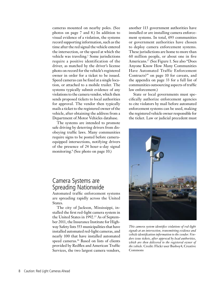cameras mounted on nearby poles. (See photos on page 7 and 8.) In addition to visual evidence of a violation, the systems record supporting information, such as the time after the red signal the vehicle entered the intersection, or the speed at which the vehicle was traveling.<sup>3</sup> Some jurisdictions require a positive identification of the driver, as matched by the driver's license photo on record for the vehicle's registered owner in order for a ticket to be issued. Speed cameras can be fixed at a single location, or attached to a mobile trailer. The systems typically submit evidence of any violations to the camera vendor, which then sends proposed tickets to local authorities for approval. The vendor then typically mails a ticket to the registered owner of the vehicle, after obtaining the address from a Department of Motor Vehicles database.

The systems are intended to promote safe driving by deterring drivers from disobeying traffic laws. Many communities require signs to be posted before cameraequipped intersections, notifying drivers of the presence of 24 hour-a-day signal monitoring.4 (See photo on page 10.)

# Camera Systems are Spreading Nationwide

Automated traffic enforcement systems are spreading rapidly across the United States.

The city of Jackson, Mississippi, installed the first red-light camera system in the United States in 1992.<sup>15</sup> As of September 2011, the Insurance Institute for Highway Safety lists 553 municipalities that have installed automated red-light cameras, and nearly 100 that have installed automated speed cameras.16 Based on lists of clients provided by Redflex and American Traffic Services, the two largest camera vendors,

another 113 government authorities have installed or are installing camera enforcement systems. In total, 693 communities or government authorities have chosen to deploy camera enforcement systems. These jurisdictions are home to more than 60 million people, or about one in five Americans.17 (See Figure 1. See also "Does Anyone Know How Many Communities Have Automated Traffic Enforcement Contracts?" on page 10 for caveats, and the appendix on page 33 for a full list of communities outsourcing aspects of traffic law enforcement.)

State or local governments must specifically authorize enforcement agencies to cite violators by mail before automated enforcement systems can be used, making the registered vehicle owner responsible for the ticket. Law or judicial precedent must



*This camera system identifies violations of red-light signals at an intersection, transmitting evidence and vehicle identification information to the vendor. Vendors issue tickets, after approval by local authorities, which are then delivered to the registered owner of the vehicle.* Credit: Flickr user Busboy4, Creative Commons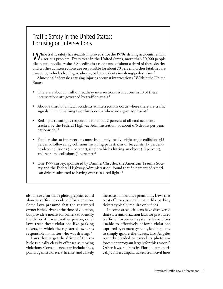# Traffic Safety in the United States: Focusing on Intersections

While traffic safety has steadily improved since the 1970s, driving accidents remain a serious problem. Every year in the United States, more than 30,000 people die in automobile crashes.<sup>5</sup> Speeding is a root cause of about a third of these deaths, and crashes at intersections are responsible for about 20 percent. Other fatalities are caused by vehicles leaving roadways, or by accidents involving pedestrians.<sup>6</sup>

Almost half of crashes causing injuries occur at intersections.7 Within the United States:

- There are about 3 million roadway intersections. About one in 10 of these intersections are governed by traffic signals.<sup>8</sup>
- About a third of all fatal accidents at intersections occur where there are traffic signals. The remaining two thirds occur where no signal is present.<sup>9</sup>
- Red-light running is responsible for about 2 percent of all fatal accidents tracked by the Federal Highway Administration, or about 676 deaths per year, nationwide.10
- Fatal crashes at intersections most frequently involve right-angle collisions (45) percent), followed by collisions involving pedestrians or bicyclists (17 percent), head-on collisions (14 percent), single vehicles hitting an object (13 percent), and rear-end collisions (6 percent). $<sup>11</sup>$ </sup>
- One 1999 survey, sponsored by DaimlerChrysler, the American Trauma Society and the Federal Highway Administration, found that 56 percent of American drivers admitted to having ever run a red light.<sup>12</sup>

also make clear that a photographic record alone is sufficient evidence for a citation. Some laws presume that the registered owner is the driver at the time of violation, but provide a means for owners to identify the driver if it was another person; other laws treat these violations like parking tickets, in which the registered owner is responsible no matter who was driving.18

Laws that target the driver of the vehicle typically classify offenses as moving violations. Consequences can include fines, points against a drivers' license, and a likely increase in insurance premiums. Laws that treat offenses as a civil matter like parking tickets typically require only fines.

In some areas, citizens have discovered that state authorization laws for privatized traffic enforcement systems leave cities unable to effectively enforce violations captured by camera systems, leading many to simply ignore the tickets. Los Angeles recently decided to cancel its photo enforcement program largely for this reason.<sup>19</sup> Other laws, such as in Florida, automatically convert unpaid tickets from civil fines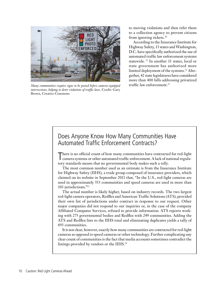

*Many communities require signs to be posted before camera-equipped intersections, helping to deter violations of traffic laws.* Credit: Gary Brown, Creative Commons

to moving violations and then refer them to a collection agency to prevent citizens from ignoring tickets.20

According to the Insurance Institute for Highway Safety, 13 states and Washington, D.C. have specifically authorized the use of automated traffic law enforcement systems statewide. 21 In another 11 states, local or state government has authorized more limited deployment of the systems.<sup>22</sup> Altogether, 42 state legislatures have considered more than 400 bills addressing privatized traffic law enforcement.<sup>23</sup>

# Does Anyone Know How Many Communities Have Automated Traffic Enforcement Contracts?

There is no official count of how many communities have contracted for red-light camera systems or other automated traffic enforcement. A lack of national regulahere is no official count of how many communities have contracted for red-light tory standards means that no governmental body makes such a tally.

The most common number used as an estimate is from the Insurance Institute for Highway Safety (IIHS), a trade group composed of insurance providers, which claimed on its website in September 2011 that, "In the U.S., red-light cameras are used in approximately 553 communities and speed cameras are used in more than 103 jurisdictions."13

The actual number is likely higher, based on industry records. The two largest red-light camera operators, Redflex and American Traffic Solutions (ATS), provided their own list of jurisdictions under contract in response to our request. Other major companies did not respond to our inquiries or, in the case of the company Affiliated Computer Services, refused to provide information. ATS reports working with 275 governmental bodies and Redflex with 249 communities. Adding the ATS and Redflex lists to the IIHS total and eliminating duplicates yields a tally of 693 communities.

It is not clear, however, exactly how many communities are contracted for red-light cameras as opposed to speed cameras or other technology. Further complicating any clear count of communities is the fact that media accounts sometimes contradict the listings provided by vendors or the IIHS.14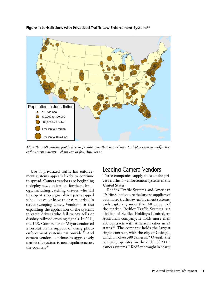

**Figure 1: Jurisdictions with Privatized Traffic Law Enforcement Systems24**

*More than 60 million people live in jurisdictions that have chosen to deploy camera traffic law enforcement systems—about one in five Americans.*

Use of privatized traffic law enforcement systems appears likely to continue to spread. Camera vendors are beginning to deploy new applications for the technology, including catching drivers who fail to stop at stop signs, drive past stopped school buses, or leave their cars parked in street sweeping zones. Vendors are also expanding the application of the systems to catch drivers who fail to pay tolls or disobey railroad crossing signals. In 2011, the U.S. Conference of Mayors endorsed a resolution in support of using photo enforcement systems nationwide.<sup>25</sup> And camera vendors continue to aggressively market the systems to municipalities across the country.26

## Leading Camera Vendors

Three companies supply most of the private traffic law enforcement systems in the United States.

Redflex Traffic Systems and American Traffic Solutions are the largest suppliers of automated traffic law enforcement systems, each capturing more than 40 percent of the market. Redflex Traffic Systems is a division of Redflex Holdings Limited, an Australian company. It holds more than 250 contracts with American cities in 23 states.27 The company holds the largest single contract, with the city of Chicago, which involves 380 cameras.<sup>28</sup> Overall, the company operates on the order of 2,000 camera systems.29 Redflex brought in nearly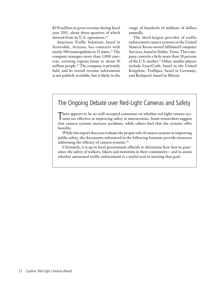\$150 million in gross revenue during fiscal year 2011, about three-quarters of which derived from its U.S. operations.<sup>30</sup>

American Traffic Solutions, based in Scottsdale, Arizona, has contracts with nearly 300 municipalities in 21 states.<sup>31</sup> The company manages more than 3,000 cameras, covering regions home to about 30 million people.<sup>32</sup> The company is privately held, and its overall revenue information is not publicly available, but is likely in the

range of hundreds of millions of dollars annually.

The third-largest provider of traffic enforcement camera systems in the United States is Xerox-owned Affiliated Computer Services, based in Dallas, Texas. This company controls a little more than 10 percent of the U.S. market.<sup>33</sup> Other, smaller players include LaserCraft, based in the United Kingdom; Traffipax, based in Germany; and Redspeed, based in Illinois.

# The Ongoing Debate over Red-Light Cameras and Safety

There appears to be no well-accepted consensus on whether red-light camera systems are effective at improving safety at intersections. Some researchers suggest tems are effective at improving safety at intersections. Some researchers suggest that camera systems increase accidents, while others find that the systems offer benefits.

While this report does not evaluate the proper role of camera systems in improving public safety, the documents referenced in the following footnote provide resources addressing the efficacy of camera systems.<sup>34</sup>

Ultimately, it is up to local government officials to determine how best to guarantee the safety of walkers, bikers and motorists in their community—and to assess whether automated traffic enforcement is a useful tool in meeting that goal.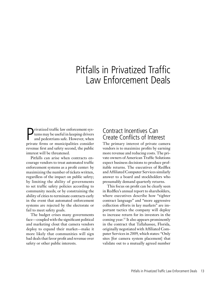# Pitfalls in Privatized Traffic Law Enforcement Deals

**P**rivatized traffic law enforcement systems may be useful in keeping drivers and pedestrians safe. However, when private firms or municipalities consider rivatized traffic law enforcement systems may be useful in keeping drivers and pedestrians safe. However, when revenue first and safety second, the public interest will be threatened.

Pitfalls can arise when contracts encourage vendors to treat automated traffic enforcement systems as a profit center: by maximizing the number of tickets written, regardless of the impact on public safety; by limiting the ability of governments to set traffic safety policies according to community needs; or by constraining the ability of cities to terminate contracts early in the event that automated enforcement systems are rejected by the electorate or fail to meet safety goals.

The budget crises many governments face—coupled with the significant political and marketing clout that camera vendors deploy to expand their market—make it more likely that communities will sign bad deals that favor profit and revenue over safety or other public interests.

# Contract Incentives Can Create Conflicts of Interest

The primary interest of private camera vendors is to maximize profits by earning more revenue and reducing costs. The private owners of American Traffic Solutions expect business decisions to produce profitable returns. The executives of Redflex and Affiliated Computer Services similarly answer to a board and stockholders who presumably demand quarterly returns.

This focus on profit can be clearly seen in Redflex's annual report to shareholders, where executives describe how "tighter contract language" and "more aggressive collection efforts in key markets" are important tactics the company will deploy to increase return for its investors in the coming year.<sup>35</sup> It also appears prominently in the contract that Tallahassee, Florida, originally negotiated with Affiliated Computer Services in 2009, which states: "Only sites [for camera system placement] that validate out to a mutually agreed number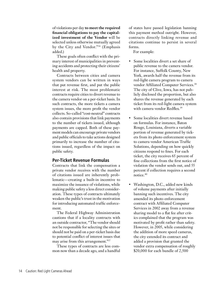of violations per day **to meet the required financial obligations to pay the capitalized investment of the Vendor** will be selected unless otherwise mutually agreed by the City and Vendor."36 (Emphasis added.)

These goals often conflict with the primary interest of municipalities in preventing accidents and protecting their citizens' health and property.

Contracts between cities and camera system vendors can be written in ways that put revenue first, and put the public interest at risk. The most problematic contracts require cities to divert revenue to the camera vendor on a per-ticket basis. In such contracts, the more tickets a camera system issues, the more profit the vendor collects. So-called "cost-neutral" contracts also contain provisions that link payments to the number of tickets issued, although payments are capped. Both of these payment models can encourage private vendors and public officials to take actions designed primarily to increase the number of citations issued, regardless of the impact on public safety.

## **Per-Ticket Revenue Formulas**

Contracts that link the compensation a private vendor receives with the number of citations issued are inherently problematic—creating a built-in incentive to maximize the issuance of violations, while making public safety a less direct consideration. These types of contracts ultimately weaken the public's trust in the motivation for introducing automated traffic enforcement.

The Federal Highway Administration cautions that if a locality contracts with an outside contractor, "The vendor should not be responsible for selecting the sites or should not be paid on a per-ticket basis due to potential conflict of interest issues that may arise from this arrangement."37

These types of contracts are less common now than a decade ago, and a handful of states have passed legislation banning this payment method outright. However, contracts directly linking revenue and citations continue to persist in several forms.

For example:

- Some localities divert a set share of public revenue to the camera vendor. For instance, Suffolk County, New York, awards half the revenue from its red-light camera program to camera vendor Affiliated Computer Services.<sup>38</sup> The city of Clive, Iowa, has not publicly disclosed the proportion, but also shares the revenue generated by each ticket from its red-light camera system with camera vendor Redflex.<sup>39</sup>
- • Some localities divert revenue based on formulas. For instance, Baton Rouge, Louisiana, diverts a variable portion of revenue generated by tickets from its photo enforcement system to camera vendor American Traffic Solutions, depending on how quickly citizens respond to fines. For each ticket, the city receives 65 percent of fine collections from the first notice of violation the vendor sends out, and 55 percent if collection requires a second notice.40
- Washington, D.C., added new kinds of volume payments after initially banning such incentives. The city amended its photo enforcement contract with Affiliated Computer Services in 2002 away from a revenue sharing model to a flat fee after critics complained that the program was motivated by profit rather than safety. However, in 2005, while considering the addition of more speed cameras, the city extended its contract and added a provision that granted the vendor extra compensation of roughly \$20,000 for each bundle of 2,500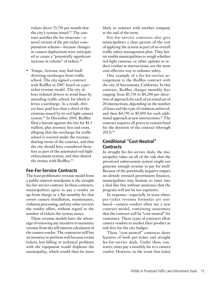tickets above 53,750 per month that the city's system issued.<sup>41</sup> The contract justifies the fee structure—a novel variant of the per-ticket compensation scheme—because changes in camera deployment were anticipated to create a "potentially significant increase in volume" of tickets.<sup>42</sup>

• Tempe, Arizona, may find itself diverting surcharges from traffic school. The city signed a contract with Redflex in 2007 based on a perticket revenue model. The city allows ticketed drivers to avoid fines by attending traffic school, for which it levies a surcharge. As a result, drivers have paid less than a third of the citations issued by its red-light camera system.43 In December 2010, Redflex filed a lawsuit against the city for \$1.3 million, plus attorney fees and costs, alleging that the surcharge for traffic school is covered under the revenuesharing terms of the contract, and that the city should have considered those fees as part of the automated red-light enforcement system, and thus shared the money with Redflex.<sup>44</sup>

## **Fee-For-Service Contracts**

The least problematic revenue model from a public-interest standpoint is the straight fee-for-service contract. In these contracts, municipalities agree to pay a vendor an up-front charge or a flat monthly fee that covers camera installation, maintenance, violation processing, and any other services the vendor offers, without regard to the number of tickets the system issues.

These revenue models have the advantage of removing any incentive to maximize revenue from the self-interest calculation of the camera vendor. The contractor still has an incentive to perform well because errant tickets, lost billing or technical problems with the equipment would displease the municipality, which would then be more

likely to contract with another company at the end of the term.

Fee-for-service contracts also give municipalities a clear picture of the cost of applying the system as part of an overall traffic safety management plan. They better enable municipalities to weigh whether red-light cameras, or other options to reduce crashes at intersections, are the most cost-effective way to enhance safety.

One example of a fee-for-service arrangement is the Redflex contract with the city of Sacramento, California. In this contract, Redflex charges monthly fees ranging from \$3,750 to \$4,200 per direction of approach for each of an initial set of 20 intersections, depending on the number of lanes and the type of violation enforced, and then \$4,750 to \$5,050 for each additional approach at new intersections.<sup>45</sup> The contract requires all prices to remain fixed for the duration of the contract (through 2012).46

## **Conditional "Cost-Neutral" Contracts**

In straight fee-for-service deals, the municipality takes on all of the risk that the privatized enforcement system might not generate enough revenue to pay for itself. Because of the potentially negative impact on already stressed government finances, municipalities may hesitate to enter into a deal like this without assurance that the program will not be too expensive.

In response—especially in areas where per-ticket revenue formulas are outlawed—camera vendors often use a new contract model, containing assurances that the contract will be "cost-neutral" for customers. These types of contracts allow camera vendors to market their product as risk-free for the city budget.

These "cost-neutral" contracts share features of both per-ticket and straight fee-for-service deals. Under these contracts, cities pay a monthly fee to a camera vendor. However, in the event that ticket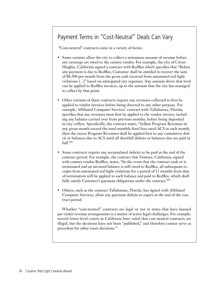# Payment Terms in "Cost-Neutral" Deals Can Vary

"Cost-neutral" contracts come in a variety of forms.

- Some variants allow the city to collect a minimum amount of revenue before any earnings are owed to the camera vendor. For example, the city of Citrus Heights, California signed a contract with Redflex which specifies that "Before any payment is due to Redflex, Customer shall be entitled to recover the sum of \$8,500 per month from the gross cash received from automated red-light violations […]" based on anticipated city expenses. Any amount above that level can be applied to Redflex invoices, up to the amount that the city has managed to collect by that point.
- Other variants of these contracts require any revenues collected to first be applied to vendor invoices before being directed to any other purpose. For example, Affiliated Computer Services' contract with Tallahassee, Florida, specifies that any revenues must first be applied to the vendor invoice, including any balance carried over from previous months, before being deposited in city coffers. Specifically, the contract states, "[w]hen Program Revenues in any given month exceed the total monthly fixed fees owed ACS in such month, then the excess Program Revenues shall be applied first to any cumulative deficit or balances due to ACS until all shortfall deficits or balances due are paid in full."48
- Some contracts require any accumulated deficits to be paid at the end of the contract period. For example, the contract that Ventura, California, signed with camera vendor Redflex, states, "In the event that the contract ends or is terminated and an invoiced balance is still owed to Redflex, all subsequent receipts from automated red-light violations for a period of 12 months from date of termination will be applied to such balance and paid to Redflex, which shall fully satisfy Customer's payment obligations under the contract."<sup>49</sup>
- Others, such as the contract Tallahassee, Florida, has signed with Affiliated Computer Services, allow any payment deficits to expire at the end of the contract period.

Whether "cost-neutral" contracts are legal or not in states that have banned per-ticket revenue arrangements is a matter of active legal challenges. For example, several lower-level courts in California have ruled that cost neutral contracts are illegal, but the decisions have not been "published," and therefore cannot serve as precedent for other court decisions.<sup>50</sup>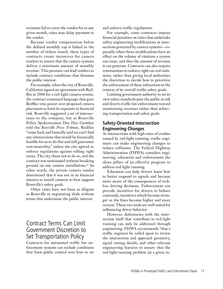revenues fail to cover the vendor fee in any given month, cities may delay payment to the vendor.

Because vendor compensation below the defined monthly cap is linked to the number of tickets issued, these types of contracts create incentives for camera vendors to ensure that the camera systems deliver a minimum amount of monthly revenue. This pressure can lead vendors to include contract conditions that threaten the public interest.

For example, when the city of Roseville, California signed an agreement with Redflex in 2008 for a red-light camera system, the contract contained language that gave Redflex veto power over proposed camera placement to limit its exposure to financial risk. Roseville suggested a set of intersections to the company, but as Roseville Police Spokeswoman Dee Dee Gunther told the *Roseville Press Tribune*, Redflex "came back and basically said we can't find any intersections that would be financially feasible for us to do this and still guarantee cost-neutrality," unless the city agreed to enforce regulations against rolling right turns. The city chose not to do so, and the contract was terminated without breaking ground on any camera installations.47 In other words, the private camera vendor determined that it was not in its financial interest to install cameras to best support Roseville's safety goals.

Other cities have not been as diligent as Roseville in negotiating deals without terms that undermine the public interest.

# Contract Terms Can Limit Government Discretion to Set Transportation Policy

Contracts for automated traffic law enforcement systems can include conditions that limit public control over how to set and enforce traffic regulations.

For example, some contracts impose financial penalties on cities that undertake safety engineering modifications at intersections governed by camera systems—especially when those modifications have an effect on the volume of citations a system can issue, and thus the amount of revenue it can generate. Contracts can also require communities to enforce right-on-red violations, rather than giving local authorities the discretion to decide how to prioritize the enforcement of these infractions in the context of its overall traffic safety goals.

Limiting government authority to set its own safety standards puts the public at risk and diverts traffic law enforcement toward maintaining revenues rather than achieving transportation and safety goals.

## **Safety-Oriented Intersection Engineering Changes**

At intersections with high rates of crashes caused by red-light running, traffic engineers can make engineering changes to reduce collisions. The Federal Highway Administration (FHWA) considers engineering, education and enforcement the three pillars of an effective program to address red-light running.

Education can help drivers learn how to better respond to signals and become more aware of the consequences of reckless driving decisions. Enforcement can provide incentives for drivers to behave cautiously, incentives which become stronger as the fines become higher and more certain. These two tools are well suited for influencing driver behavior.

However, deficiencies with the intersection itself that contribute to red-light running can only be addressed through engineering. FHWA recommends "that a traffic engineer be called upon to review the intersection and approach geometry, signal timing details, and other relevant engineering features to ensure that the red-light-running problem [at a given in-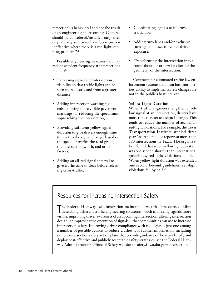tersection] is behavioral and not the result of an engineering shortcoming. Cameras should be considered/installed only after engineering solutions have been proven ineffective where there is a red-light-running problem."51

Possible engineering measures that may reduce accident frequency at intersections include:<sup>53</sup>

- Increasing signal and intersection visibility so that traffic lights can be seen more clearly and from a greater distance;
- Adding intersection warning signals, painting more visible pavement markings, or reducing the speed limit approaching the intersection;
- Providing sufficient yellow signal duration to give drivers enough time to react to the signal change, based on the speed of traffic, the road grade, the intersection width, and other factors;
- Adding an all-red signal interval to give traffic time to clear before releasing cross-traffic;
- • Coordinating signals to improve traffic flow;
- Adding turn lanes and/or exclusive turn signal phases to reduce driver exposure;
- Transforming the intersection into a roundabout, or otherwise altering the geometry of the intersection.

Contracts for automated traffic law enforcement systems that limit local authorities' ability to implement safety changes are not in the public's best interest.

## **Yellow Light Duration**

When traffic engineers lengthen a yellow signal at an intersection, drivers have more time to react to a signal change. This tends to reduce the number of accidental red-light violations. For example, the Texas Transportation Institute studied three years' worth of police reports at more than 180 intersections in Texas. The organization found that when yellow light duration was one second shorter than international guidelines, red-light violations doubled. When yellow light duration was extended one second beyond guidelines, red-light violations fell by half.<sup>54</sup>

# Resources for Increasing Intersection Safety

T describing different traffic engineering solutions—such as making signals more he Federal Highway Administration maintains a wealth of resources online visible, improving driver awareness of an upcoming intersection, altering intersection design, or improving the operation of signals—that communities can use to increase intersection safety. Improving driver compliance with red lights is just one among a number of possible actions to reduce crashes. For further information, including sample intersection safety action plans that provide guidance on how to identify and deploy cost-effective and publicly acceptable safety strategies, see the Federal Highway Administration's Office of Safety website at safety.fhwa.dot.gov/intersection.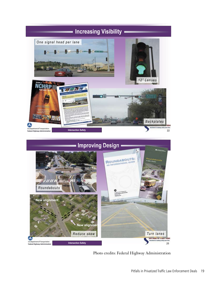



Photo credits: Federal Highway Administration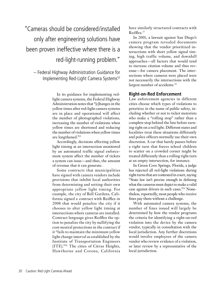"Cameras should be considered/installed only after engineering solutions have been proven ineffective where there is a red-light-running problem."

– Federal Highway Administration Guidance for Implementing Red-Light Camera Systems<sup>52</sup>

> In its guidance for implementing redlight camera systems, the Federal Highway Administration notes that "[c]hanges in the yellow times after red-light camera systems are in place and operational will affect the number of photographed violations, increasing the number of violations when yellow times are shortened and reducing the number of violations when yellow times are lengthened."55

> Accordingly, decisions affecting yellow light timing at an intersection monitored by an automated traffic signal enforcement system affect the number of tickets a system can issue—and thus, the amount of revenue that it can generate.

> Some contracts that municipalities have signed with camera vendors include provisions that inhibit local authorities from determining and setting their own appropriate yellow light timing. For example, the city of Bell Gardens, California signed a contract with Redflex in 2008 that would penalize the city if it chooses to alter yellow light timing at intersections where cameras are installed. Contract language gives Redflex the option to penalize the city by nullifying the cost-neutral protections in the contract if it "fails to maintain the minimum yellow light change interval as established by the Institute of Transportation Engineers [ITE]."56 The cities of Citrus Heights, Hawthorne and Corona, California

have similarly structured contracts with Redflex.57

In 2001, a lawsuit against San Diego's camera program revealed documents showing that the vendor prioritized intersections with short yellow signal timing, high traffic volume, and downhill approaches—all factors that would tend to increase citation volume and thus revenue—for camera placement. The intersections where cameras were placed were not necessarily the intersections with the largest number of accidents.<sup>58</sup>

## **Right-on-Red Enforcement**

Law enforcement agencies in different cities choose which types of violations to prioritize in the name of public safety, including whether or not to ticket motorists who make a "rolling stop" rather than a complete stop behind the line before turning right on a red light. Different states and localities treat these situations differently and police officers normally use their own discretion. A car that barely pauses before a right turn that forces school children to scatter on a crowded corner might be treated differently than a rolling right turn at an empty intersection, for instance.

In Green Cove Springs, Florida, a judge has rejected all red-light violations during right turns that are contested in court, saying "State law isn't precise enough in defining what the cameras must depict to make a valid case against drivers in such cases."59 Nonetheless, reportedly, most people who receive fines pay them without a challenge.

With automated camera systems, the number of fines issued will largely be determined by how the vendor programs the criteria for identifying a right-on-red violation into the device by the camera vendor, typically in consultation with the local jurisdiction. Any further discretions would involve employees of the camera vendor who review evidence of a violation, or later review by a representative of the local jurisdiction.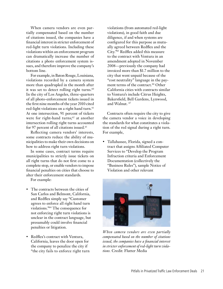When camera vendors are even partially compensated based on the number of citations issued, the companies have a financial interest in stricter enforcement of red-light turn violations. Including these violations within an enforcement program can dramatically increase the number of citations a photo enforcement system issues, and therefore improve the company's bottom line.

For example, in Baton Rouge, Louisiana, violations recorded by a camera system more than quadrupled in the month after it was set to detect rolling right turns.<sup>60</sup> In the city of Los Angeles, three-quarters of all photo-enforcement tickets issued in the first nine months of the year 2010 cited red-light violations on a right hand turn.<sup>61</sup> At one intersection, 91 percent of tickets were for right-hand turns; $62$  at another intersection rolling right turns accounted for 97 percent of all citations issued.<sup>63</sup>

Reflecting camera vendors' interests, some contracts reduce the ability of municipalities to make their own decisions on how to address right turn violations.

In some cases, contract terms require municipalities to strictly issue tickets on all right turns that do not first come to a complete stop, or enable vendors to impose financial penalties on cities that choose to alter their enforcement standards.

For example:

- The contracts between the cities of San Carlos and Belmont, California, and Redflex simply say "Customer agrees to enforce all right hand turn violations."64 The consequence for not enforcing right turn violations is unclear in the contract language, but presumably could involve financial penalties or litigation.
- • Redflex's contract with Ventura, California, leaves the door open for the company to penalize the city if "the city fails to enforce right turn

violations (from automated red-light violations), in good faith and due diligence, if and when systems are configured for this purpose as mutually agreed between Redflex and the City."65 Redflex added this measure to the contract with Ventura in an amendment adopted in November 2008—previously the company had invoiced more than \$1.7 million to the city that went unpaid because of the "cost neutrality" language in the payment terms of the contract.<sup>66</sup> Other California cities with contracts similar to Ventura's include Citrus Heights, Bakersfield, Bell Gardens, Lynwood, and Walnut. 67

Contracts often require the city to give the camera vendor a voice in developing the standards for what constitutes a violation of the red signal during a right turn. For example,

• Tallahassee, Florida, signed a contract that assigns Affiliated Computer Services to "Develop the Program Infraction criteria and Enforcement Documentation (collectively the "Business Rules"), sample Notice of Violation and other relevant



*When camera vendors are even partially compensated based on the number of citations issued, the companies have a financial interest in stricter enforcement of red-light turn violations.* Credit: Flutter Media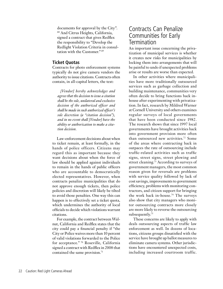documents for approval by the City". 68 And Citrus Heights, California, signed a contract that gives Redflex the responsibility to "Develop the Redlight Violation Criteria in consultation with the Customer." 69

## **Ticket Quotas**

Contracts for photo enforcement systems typically do not give camera vendors the authority to issue citations. Contracts often contain, in all-capital letters, the text:

*[Vendor] hereby acknowledges and agrees that the decision to issue a citation shall be the sole, unilateral and exclusive decision of the authorized officer and shall be made in such authorized officer's sole discretion (a "citation decision"), and in no event shall [Vendor] have the ability or authorization to make a citation decision.*

Law-enforcement decisions about when to ticket remain, at least formally, in the hands of police officers. Citizens may regard this as important because they want decisions about when the force of law should be applied against individuals to remain in the hands of public officers who are accountable to democratically elected representatives. However, when contracts penalize municipalities that do not approve enough tickets, then police policies and discretion will likely be tilted to avoid those penalties. One way this can happen is to effectively set a ticket quota, which undermines the authority of local officials to decide which violations warrant citations.

For example, the contract between Walnut, California and Redflex states that the city could pay a financial penalty if "the City or Police waives more than 10 percent of valid violations forwarded to the Police for acceptance." 70 Roseville, California signed a contract with Redflex in 2008 that contained the same provision.<sup>71</sup>

# Contracts Can Penalize Communities for Early **Termination**

An important issue concerning the privatization of municipal services is whether it creates new risks for municipalities by locking them into arrangements that will be painful to undo if unexpected problems arise or results are worse than expected.

In other activities where municipalities have more traditionally outsourced services such as garbage collection and building maintenance, communities very often decide to bring functions back inhouse after experimenting with privatization. In fact, research by Mildred Warner at Cornell University and others examines regular surveys of local governments that have been conducted since 1982. The research shows that since 1997 local governments have brought activities back into government provision more often than outsourced new activities.72 Some of the areas where contracting back in outpaces the rate of outsourcing include traffic-related activities such as traffic signs, street signs, street plowing and street cleaning.73 According to surveys of government managers, the most common reason given for reversals are problems with service quality followed by lack of cost savings, improvements to government efficiency, problems with monitoring contractors, and citizen support for bringing the work back in-house.74 The surveys also show that city managers who monitor outsourcing contracts more closely are more likely to reverse the outsourcing subsequently.<sup>75</sup>

These concerns are likely to apply with deals outsourcing aspects of traffic law enforcement as well. In dozens of locations, citizens groups dissatisfied with the service have brought up ballot measures to eliminate camera systems. Other jurisdictions have encountered unexpected costs, including increased courtroom traffic.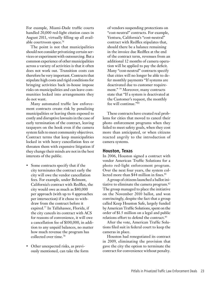For example, Miami-Dade traffic courts handled 20,000 red-light citation cases in August 2011, virtually filling up all available courtroom space.76

The point is not that municipalities should not consider privatizing certain services or experiment with outsourcing. But a common experience of other municipalities across a variety of activities is that it often does not work out. Transition costs can therefore be very important. Contracts that stipulate high costs and rigid conditions for bringing activities back in-house impose risks on municipalities and can leave communities locked into arrangements they do not want.

Many automated traffic law enforcement contracts create risk by penalizing municipalities or leaving them exposed to costly and disruptive lawsuits in the case of early termination of the contract, leaving taxpayers on the hook even if the camera system fails to meet community objectives. Contract terms that keep municipalities locked in with heavy cancellation fees or threaten them with expensive litigation if they change their minds are not in the best interests of the public.

- Some contracts specify that if the city terminates the contract early the city will owe the vendor cancellation fees. For example, under Belmont, California's contract with Redflex, the city would owe as much as \$80,000 per approach (with up to 4 approaches per intersection) if it chose to withdraw from the contract before it expired.77 In Tallahassee, Florida, if the city cancels its contract with ACS for reasons of convenience, it will owe a cancellation fee of \$100,000, in addition to any unpaid balances, no matter how much revenue the program has collected over time.78
- Other unexpected risks, as previously mentioned, can take the form

of vendors suspending protections on "cost-neutral" contracts. For example, Ventura, California's "cost-neutral" contract with Redflex stipulates that, should there be a balance remaining in the invoice due Redflex at the end of the contract term, revenues from an additional 12 months of camera operation will be applied to pay the deficit. Many "cost-neutral" contracts specify that cities will no longer be able to defer monthly payments "If systems are deactivated due to customer requirement." 79 Moreover, many contracts state that "If a system is deactivated at the Customer's request, the monthly fee will continue."80

These contracts have created real problems for cities that moved to cancel their photo enforcement programs when they failed to meet safety goals, when they cost more than anticipated, or when citizens reacted angrily to the introduction of camera systems.

#### **Houston, Texas**

In 2006, Houston signed a contract with vendor American Traffic Solutions for a photo red-light enforcement program. Over the next four years, the system collected more than \$44 million in fines.<sup>81</sup>

A group of citizens launched a ballot initiative to eliminate the camera program.82 The group managed to place the initiative on the November 2010 ballot, and won convincingly, despite the fact that a group called Keep Houston Safe, largely funded by American Traffic Solutions, spent on the order of \$1.5 million on a legal and public relations effort to defend the contract.<sup>83</sup>

After the vote, American Traffic Solutions filed suit in federal court to keep the cameras in place.

Houston had renegotiated its contract in 2009, eliminating the provision that gave the city the option to terminate the contract for convenience without penalty.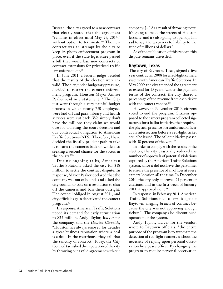Instead, the city agreed to a new contract that clearly stated that the agreement "remains in effect until May 27, 2014," without option to terminate.<sup>84</sup> The new contract was an attempt by the city to keep its photo enforcement program in place, even if the state legislature passed a bill that would ban new contracts or contract extensions for privatized traffic law enforcement.<sup>85</sup>

In June 2011, a federal judge decided that the results of the election were invalid. The city, under budgetary pressure, decided to restart the camera enforcement program. Houston Mayor Annise Parker said in a statement: "The City just went through a very painful budget process in which nearly 750 employees were laid off and park, library and health services were cut back. We simply don't have the millions they claim we would owe for violating the court decision and our contractual obligation to American Traffic Solutions (ATS). Therefore, I have decided the fiscally-prudent path to take is to turn the cameras back on while also seeking a second chance for the voters in the courts."86

During ongoing talks, American Traffic Solutions asked the city for \$18 million to settle the contract dispute. In response, Mayor Parker declared that the company was out of bounds and asked the city council to vote on a resolution to shut off the cameras and ban them outright. The council obliged in August 2011, and city officials again deactivated the camera program.87

In response, American Traffic Solutions upped its demand for early termination to \$25 million. Andy Taylor, lawyer for the company, told the *Houston Chronicle*, "Houston has always enjoyed for decades a great business reputation where a deal is a deal. In the courthouse they call that the sanctity of contract. Today, the City Council tarnished the reputation of the city by throwing out a valid agreement with our

company. […] As a result of throwing it out, it's going to make the streets of Houston less safe, and it's also going to open up, I'm sad to say, the taxpayers to liability to the tune of millions of dollars."

As of the publication of this report, this dispute remains unsettled.

#### **Baytown, Texas**

The city of Baytown, Texas, signed a five year contract in 2008 for a red-light camera system with American Traffic Solutions. In May 2009, the city amended the agreement to extend for 15 years. Under the payment terms of the contract, the city shared a percentage of the revenue from each ticket with the camera vendor.<sup>88</sup>

However, in November 2010, citizens voted to end the program. Citizens opposed to the camera program collected signatures for a ballot initiative that required the physical presence of a uniformed officer at an intersection before a red-light ticket could be issued. The ballot initiative passed with 58 percent of the vote.<sup>89</sup>

In order to comply with the results of the election, the city drastically reduced the number of approvals of potential violations captured by the American Traffic Solutions system, since it did not have the personnel to ensure the presence of an officer at every camera location all the time.In December 2010, the city only approved 21 percent of citations, and in the first week of January 2011, it approved none. $90$ 

In response, in February 2011, American Traffic Solutions filed a lawsuit against Baytown, alleging breach of contract because the city was not approving enough tickets.91 The company also discontinued operation of the system.

Andy Taylor, lawyer for the vendor, wrote to Baytown officials, "the entire purpose of the program is to automate the detection of red-light runners without the necessity of relying upon personal observation by a peace officer. By changing the program to require personal observation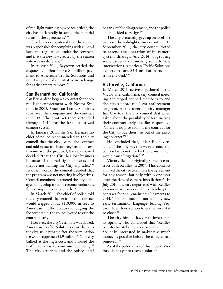of red-light running by a peace officer, the city has unilaterally breached the material terms of the agreement."92

City lawyers countered that the vendor was responsible for complying with all local laws and regulations under the contract, and that the new law created by the citizen vote was no different.<sup>93</sup>

In August 2011, Baytown settled the dispute by authorizing a \$1 million payment to American Traffic Solutions and nullifying the ballot initiative in exchange for early camera removal.<sup>94</sup>

#### **San Bernardino, California**

San Bernardino began a contract for photo red-light enforcement with Nestor Systems in 2005. American Traffic Solutions took over the company and the contract in 2009. The contract term extended through 2014 for the last authorized camera system.

In January 2011, the San Bernardino chief of police recommended to the city council that the city extend the contract and add cameras. However, based on testimony over the proposal, the city council decided "that the City has lost business because of the red-light cameras and they're not making the City any safer."95 In other words, the council decided that the program was not meeting its objectives. Council members instructed the city manager to develop a set of recommendations for exiting the contract early.<sup>96</sup>

In March 2011, the chief of police told the city council that exiting the contract would trigger about \$110,000 in fees to American Traffic Solutions. Judging the fee acceptable, the council voted to exit the contract early.

However, the city's estimate was flawed. American Traffic Solutions came back to the city, saying that in fact, the termination fee would approach \$1.9 million.<sup>97</sup> The city balked at the high cost, and allowed the traffic cameras to continue operating.98 The city attorney and the police chief began a public disagreement, and the police chief decided to resign.<sup>99</sup>

The city eventually gave up on its effort to abort the red-light camera contract. In September 2011, the city council voted to extend the operation of its camera system through July 2014, upgrading some cameras and moving some to new intersections. American Traffic Solutions expects to earn \$2.4 million in revenue from the deal.<sup>100</sup>

## **Victorville, California**

In March 2011, activists gathered at the Victorville, California, city council meeting and urged council members to end the city's photo red-light enforcement program. At the meeting, city manager Jim Cox told the city council that when asked about the possibility of terminating their contract early, Redflex responded, "There is no provision in the contract for the City to buy their way out of the existing contract."101

He concluded that, unless Redflex relented, "the only way that we can cancel the contract is to not live by the terms, which would cause litigation."102

Victorville had originally signed a contract with Redflex in 2007. This contract allowed the city to terminate the agreement for any reason, but only within one year after the date of camera installation.103 In July 2010, the city negotiated with Redflex to remove six cameras while extending the contract for the remaining 10 cameras to 2014. This contract did not add any new early termination language, leaving Victorville with no option to end service if it so chose.104

The city hired a lawyer to investigate its options, who concluded that "Redflex is unfortunately not so reasonable. They are only interested in making as much money as possible before the cameras are removed."105

As of the publication of this report, Victorville has yet to reach a solution.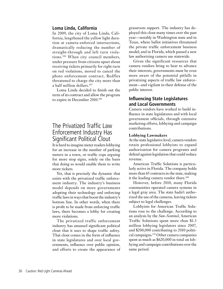#### **Loma Linda, California**

In 2009, the city of Loma Linda, California, lengthened the yellow light duration at camera-enforced intersections, dramatically reducing the number of straight-through and left turn violations.106 When city council members, under pressure from citizens upset about receiving tickets primarily for right turn on red violations, moved to cancel the photo enforcement contract, Redflex threatened to charge the city more than a half million dollars.107

Loma Linda decided to finish out the term of its contract and allow the program to expire in December 2010.108

# The Privatized Traffic Law Enforcement Industry Has Significant Political Clout

It is hard to imagine meter readers lobbying for an increase in the number of parking meters in a town, or traffic cops arguing for more stop signs, solely on the basis that doing so would enable them to write more tickets.

Yet, that is precisely the dynamic that exists with the privatized traffic enforcement industry. The industry's business model depends on more governments adopting their technology and enforcing traffic laws in ways that boost the industry's bottom line. In other words, when there is profit to be made from enforcing traffic laws, there becomes a lobby for creating more violations.

The privatized traffic enforcement industry has amassed significant political clout that it uses to shape traffic safety. That clout comes in the form of influence in state legislatures and over local governments, influence over public opinion, and efforts to create the appearance of

grassroots support. The industry has deployed this clout many times over the past year—notably in Washington state and in Texas, where ballot initiatives threatened the private traffic enforcement business model; and in Florida, which passed a new law authorizing camera use statewide.

Given the significant resources that camera vendors bring to bear to advance their interests, governments must be even more aware of the potential pitfalls in privatizing aspects of traffic law enforcement—and vigilant in their defense of the public interest.

## **Influencing State Legislatures and Local Governments**

Camera vendors have worked to build influence in state legislatures and with local government officials, through extensive marketing efforts, lobbying and campaign contributions.

#### **Lobbying Lawmakers**

At the state legislative level, camera vendors retain professional lobbyists to expand authorization for camera programs and defend against legislation that could reduce revenue.

American Traffic Solutions is particularly active in Florida. The company holds more than 65 contracts in the state, making it the leading camera vendor there.<sup>109</sup>

However, before 2010, many Florida communities operated camera systems in a legal gray area. The state hadn't authorized the use of the cameras, leaving tickets subject to legal challenges.

Lobbyists for American Traffic Solutions rose to the challenge. According to an analysis by the *Sun-Sentinel*, American Traffic Solutions spent more than \$1.3 million lobbying legislators since 2007, and \$200,000 contributing to 2010 political campaigns.110 Other camera companies spent as much as \$620,000 in total on lobbying and campaign contributions over the same period.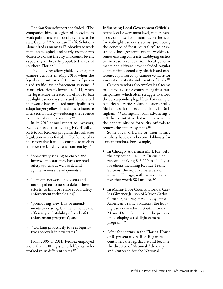The *Sun Sentinel* report concluded: "The companies hired a legion of lobbyists to work politicians from local city halls to the state Capitol**.**"111 American Traffic Solutions alone hired as many as 17 lobbyists to work in the state capitol, and nearly another two dozen to work at the city and county levels, especially in heavily populated areas of southern Florida.<sup>112</sup>

The lobbying effort yielded victory for camera vendors in May 2010, when the legislature authorized the use of privatized traffic law enforcement systems.<sup>113</sup> More victories followed in 2011, when the legislature defeated an effort to ban red-light camera systems and killed a bill that would have required municipalities to adopt longer yellow light times to increase intersection safety—reducing the revenue potential of camera systems.<sup>114</sup>

In its 2010 annual report to investors, Redflex boasted that "During FY2011, all efforts to ban Redflex's programs through state legislation were defeated."115 Redflex noted in the report that it would continue to work to improve the legislative environment by:<sup>116</sup>

- • "proactively seeking to enable and improve the statutory basis for road safety systems as well as defend against adverse developments";
- "using its network of advisors and municipal customers to defeat these efforts [to limit or remove road safety enforcement technologies]";
- "promot[ing] new laws or amendments to existing law that enhance the efficiency and stability of road safety enforcement programs"; and
- • "working proactively to seek legislative approvals in new states."

From 2006 to 2011, Redflex employed more than 100 registered lobbyists, who worked in 18 different states.<sup>117</sup>

#### **Influencing Local Government Officials**

At the local government level, camera vendors work to sell communities on the need for red-light camera systems, promoting the concept of "cost neutrality" to cashstrapped local governments and working to renew existing contracts. Lobbying tactics to increase revenues from local governments and citizens have included regular contact with elected city officials and conferences sponsored by camera vendors for associations of city and county officials.<sup>118</sup>

Camera vendors also employ legal teams to defend existing contracts against municipalities, which often struggle to afford the corresponding legal fees. For example, American Traffic Solutions successfully filed a lawsuit to prevent activists in Bellingham, Washington from advancing a 2011 ballot initiative that would give voters the opportunity to force city officials to remove the camera systems.<sup>119</sup>

Some local officials or their family members have even become lobbyists for camera vendors. For example,

- In Chicago, Alderman Mark Fary left the city council in 1995. In 2010, he reported making \$45,000 as a lobbyist for clients including Redflex Traffic Systems, the major camera vendor serving Chicago, with two contracts together worth \$84 million.120
- In Miami-Dade County, Florida, Carlos Gimenez Jr., son of Mayor Carlos Gimenez, is a registered lobbyist for American Traffic Solutions, the leading camera vendor in South Florida. Miami-Dade County is in the process of developing a red-light camera program.121
- After four terms in the Florida House of Representatives, Ron Regan recently left the legislature and became the director of National Advocacy and Outreach for the National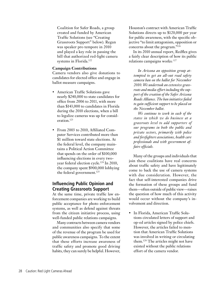Coalition for Safer Roads, a group created and funded by American Traffic Solutions (see "Creating Grassroots Support" below). Regan was speaker pro tempore in 2010 and played a key role in passing the bill that authorized red-light camera systems in Florida.<sup>122</sup>

#### **Campaign Contributions**

Camera vendors also give donations to candidates for elected office and engage in ballot measure campaigns.

- American Traffic Solutions gave nearly \$240,000 to state candidates for office from 2006 to 2011, with more than \$143,000 to candidates in Florida during the 2010 elections, when a bill to legalize cameras was up for consideration.123
- From 2003 to 2010, Affiliated Computer Services contributed more than \$1 million toward state elections. At the federal level, the company maintains a Political Action Committee that spends on the order of \$100,000 influencing elections in every twoyear federal election cycle.124 In 2010, the company spent \$900,000 lobbying the federal government.<sup>125</sup>

## **Influencing Public Opinion and Creating Grassroots Support**

At the same time, private traffic law enforcement companies are working to build public acceptance for photo enforcement systems, as well as defend against threats from the citizen initiative process, using well-funded public relations campaigns.

Many contracts between camera vendors and communities also specify that some of the revenue of the program be used for public awareness campaigns. To the extent that these efforts increase awareness of traffic safety and promote good driving habits, they can surely be helpful. However,

Houston's contract with American Traffic Solutions directs up to \$120,000 per year for public awareness, with the specific objective "to limit antagonism, opposition or concerns about the program."126

In its 2010 annual report, Redflex gives a fairly clear description of how its public relations campaigns works: 127

*In Arizona an opposition group attempted to get an all-out road safety camera ban on the ballot for November 2010. We undertook an extensive grassroots and media effort including the support of the creation of the Safer Arizona Roads Alliance. The ban initiative failed to gain sufficient support to be placed on the November ballot.* 

*We continue to work in each of the states in which we do business at a grassroots level to add supporters of our programs in both the public and private sectors, primarily with police and firefighters associations, health care professionals and with government affairs officials.* 

Many of the groups and individuals that join these coalitions have real concerns about traffic safety and have legitimately come to back the use of camera systems with due consideration. However, the fact that self-interested companies drive the formation of these groups and fund them—often outside of public view—raises the question of how much of this activity would occur without the company's involvement and direction.

• In Florida, American Traffic Solutions circulated letters of support and op-ed articles signed by police chiefs. However, the articles failed to mention that American Traffic Solutions was involved in writing or circulating them.128 The articles might not have existed without the public relations effort of the camera vendor.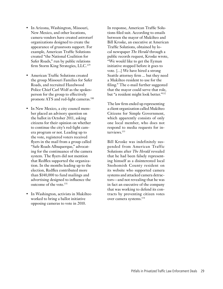- • In Arizona, Washington, Missouri, New Mexico, and other locations, camera vendors have created astroturf organizations designed to create the appearance of grassroots support. For example, American Traffic Solutions created "the National Coalition for Safer Roads," run by public relations firm Storm King Strategies, LLC.<sup>129</sup>
- American Traffic Solutions created the group Missouri Families for Safer Roads, and recruited Hazelwood Police Chief Carl Wolf as the spokesperson for the group to effectively promote ATS and red-light cameras.<sup>130</sup>
- In New Mexico, a city council member placed an advisory question on the ballot in October 2011, asking citizens for their opinion on whether to continue the city's red-light camera program or not. Leading up to the vote, registered voters received flyers in the mail from a group called "Safe Roads Albuquerque," advocating for the continuance of the camera system. The flyers did not mention that Redflex supported the organization. In the months leading up to the election, Redflex contributed more than \$140,000 to fund mailings and advertising designed to influence the outcome of the vote.<sup>131</sup>
- In Washington, activists in Mukilteo worked to bring a ballot initiative opposing cameras to vote in 2010.

In response, American Traffic Solutions filed suit. According to emails between the mayor of Mukilteo and Bill Kroske, an executive at American Traffic Solutions, obtained by local newspaper *The Herald* through a public records request, Kroske wrote, "We would like to get the Eyman initiative stopped before it goes to vote. […] We have hired a strong Seattle attorney firm ... but they need a Mukilteo resident to use for the filing." The e-mail further suggested that the mayor could serve that role, but "a resident might look better."132

The law firm ended up representing a client organization called Mukilteo Citizens for Simple Government, which apparently consists of only one local member, who does not respond to media requests for interviews.133

Bill Kroske was indefinitely suspended from American Traffic Solutions after *The Herald* revealed that he had been falsely representing himself as a disinterested local Snohomish County resident on its website who supported camera systems and attacked camera detractors—and not revealing that he was in fact an executive of the company that was working to defend its contracts by preventing citizen votes over camera systems.134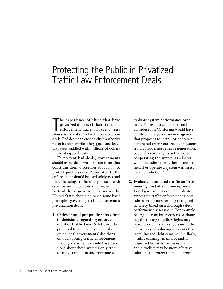# Protecting the Public in Privatized Traffic Law Enforcement Deals

The experience of cities that have<br>privatized aspects of their traffic law<br>enforcement duties in recent years<br>shows major risks involved in privatization he experience of cities that have privatized aspects of their traffic law enforcement duties in recent years deals. Bad deals can erode a city's authority to set its own traffic safety goals and leave taxpayers saddled with millions of dollars in unanticipated costs.

To prevent bad deals, governments should avoid deals with private firms that constrain their discretion about how to protect public safety. Automated traffic enforcement should be used solely as a tool for enhancing traffic safety—not a cash cow for municipalities or private firms. Instead, local governments across the United States should embrace some basic principles governing traffic enforcement privatization deals.

**1. Cities should put public safety first in decisions regarding enforcement of traffic laws.** Safety, not the potential to generate revenue, should guide local governments' decisions on outsourcing traffic enforcement. Local governments should base decisions about these systems only from a safety standpoint and continue to

evaluate system performance over time. For example, a bipartisan bill considered in California would have "prohibited a governmental agency that proposes to install or operate an automated traffic enforcement system from considering revenue generation, beyond recovering its actual costs of operating the system, as a factor when considering whether or not to install or operate a system within its local jurisdiction."<sup>135</sup>

**2. Evaluate automated traffic enforcement against alternative options.**  Local governments should evaluate automated traffic enforcement alongside other options for improving traffic safety based on a thorough safety performance assessment. For example, re-engineering intersections or changing the timing of yellow lights may, in some circumstances, be a more effective way of reducing accidents than installing red-light cameras. Similarly, "traffic calming" measures and/or improved facilities for pedestrians and bicyclists may be more effective solutions to protect the public from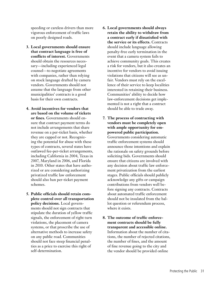speeding or careless drivers than more vigorous enforcement of traffic laws on poorly designed roads.

- **3. Local governments should ensure that contract language is free of conflicts of interest.** Governments should obtain the resources necessary—including experienced legal counsel—to negotiate agreements with companies, rather than relying on stock language drafted by camera vendors. Governments should not assume that the language from other municipalities' contracts is a good basis for their own contracts.
- **4. Avoid incentives for vendors that are based on the volume of tickets or fines.** Governments should ensure that contract payment terms do not include arrangements that share revenue on a per-ticket basis, whether they are capped or not. Recognizing the potential for abuse with these types of contracts, several states have outlawed fee-per-ticket arrangements, including California in 2004, Texas in 2007, Maryland in 2006, and Florida in 2010. Other states that have authorized or are considering authorizing privatized traffic law enforcement should also ban per-ticket payment schemes.
- **5. Public officials should retain complete control over all transportation policy decisions.** Local governments should not sign contracts that stipulate the duration of yellow traffic signals, the enforcement of right turn violations, the placement of camera systems, or that proscribe the use of alternative methods to increase safety on any public road. Communities should not face steep financial penalties as a price to exercise this right of self-determination.
- **6. Local governments should always retain the ability to withdraw from a contract early if dissatisfied with the service or its effects.** Contracts should include language allowing penalty-free early termination in the event that a camera system fails to achieve community goals. This creates a risk for vendors, but it also creates an incentive for vendors to avoid issuing violations that citizens will see as unfair. Vendors must rely on the excellence of their service to keep localities interested in retaining their business. Communities' ability to decide how law-enforcement decisions get implemented is not a right that a contract should be able to trade away.
- **7. The process of contracting with vendors must be completely open with ample opportunity for empowered public participation.**  Governments considering automatic traffic enforcement systems should announce those intentions and explain the rationale on safety grounds before soliciting bids. Governments should ensure that citizens are involved with any decision about traffic law enforcement privatization from the earliest stages. Public officials should publicly acknowledge any gifts or campaign contributions from vendors well before signing any contracts. Contracts about automated traffic enforcement should not be insulated from the ballot question or referendum process, where it exists.
- **8. The outcome of traffic enforcement contracts should be fully transparent and accessible online.** Information about the number of citations, the number of rejected citations, the number of fines, and the amount of fine revenue going to the city and the vendor should be provided online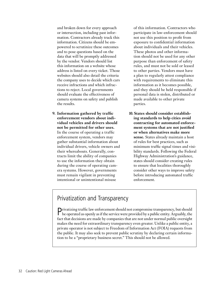and broken down for every approach or intersection, including past information. Contractors already track this information. Citizens should be empowered to scrutinize these outcomes and to pose questions based on the data that will be promptly addressed by the vendor. Vendors should list this information on a website whose address is listed on every ticket. Those websites should also detail the criteria the company uses to decide which cars receive infractions and which infractions to reject. Local governments should evaluate the effectiveness of camera systems on safety and publish the results.

**9. Information gathered by traffic enforcement vendors about individual vehicles and drivers should not be permitted for other uses.**  In the course of operating a traffic enforcement system, vendors may gather substantial information about individual drivers, vehicle owners and their whereabouts. Generally, contracts limit the ability of companies to use the information they obtain during the course of operating camera systems. However, governments must remain vigilant in preventing intentional or unintentional misuse

of this information. Contractors who participate in law-enforcement should not use this position to profit from exposure to confidential information about individuals and their vehicles. These photos and other information should not be used for any other purpose than enforcement of safety rules, and must not be sold or leased to other parties. Vendors must have a plan to regularly attest compliance with requirements to eliminate this information as it becomes possible, and they should be held responsible if personal data is stolen, distributed or made available to other private parties.

**10. States should consider establishing standards to help cities avoid contracting for automated enforcement systems that are not justified or when alternatives make more sense.** States already maintain a host of rules for best practices, such as minimum traffic signal times and visibility standards. Following the Federal Highway Administration's guidance, states should consider creating rules to ensure that localities thoroughly consider other ways to improve safety before introducing automated traffic enforcement.

# Privatization and Transparency

Privatizing traffic law enforcement should not compromise transparency, but should be operated as openly as if the service were provided by a public entity. Arguably, the fact that decisions are made by companies that are not under normal public oversight makes the need for extraordinary transparency even greater. Unlike a public entity, a private operator is not subject to Freedom of Information Act (FOIA) requests from the public. It may also seek to prevent public scrutiny by declaring certain information to be a "proprietary business secret." This should not be allowed.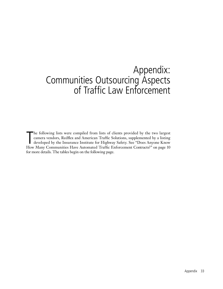# Appendix: Communities Outsourcing Aspects of Traffic Law Enforcement

The following lists were compiled from lists of clients provided by the two largest camera vendors, Redflex and American Traffic Solutions, supplemented by a listing developed by the Insurance Institute for Highway Safety. he following lists were compiled from lists of clients provided by the two largest camera vendors, Redflex and American Traffic Solutions, supplemented by a listing developed by the Insurance Institute for Highway Safety. See "Does Anyone Know for more details. The tables begin on the following page.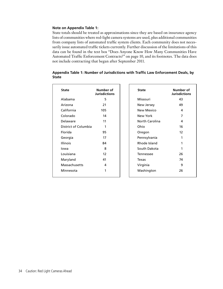#### **Note on Appendix Table 1:**

State totals should be treated as approximations since they are based on insurance agency lists of communities where red-light camera systems are used, plus additional communities from company lists of automated traffic system clients. Each community does not necessarily issue automated traffic tickets currently. Further discussion of the limitations of this data can be found in the text box "Does Anyone Know How Many Communities Have Automated Traffic Enforcement Contracts?" on page 10, and its footnotes. The data does not include contracting that began after September 2011.

| <b>State</b>         | Number of<br><b>Jurisdictions</b> | <b>State</b>      | Number of<br><b>Jurisdictions</b> |
|----------------------|-----------------------------------|-------------------|-----------------------------------|
| Alabama              | 5                                 | Missouri          | 43                                |
| Arizona              | 21                                | New Jersey        | 49                                |
| California           | 105                               | <b>New Mexico</b> | 4                                 |
| Colorado             | 14                                | New York          | 7                                 |
| Delaware             | 11                                | North Carolina    | 4                                 |
| District of Columbia | 1                                 | Ohio              | 16                                |
| Florida              | 95                                | Oregon            | 12                                |
| Georgia              | 17                                | Pennsylvania      | 1                                 |
| <b>Illinois</b>      | 84                                | Rhode Island      | 1                                 |
| lowa                 | 8                                 | South Dakota      | 1                                 |
| Louisiana            | 12                                | <b>Tennessee</b>  | 26                                |
| Maryland             | 41                                | Texas             | 74                                |
| Massachusetts        | 4                                 | Virginia          | 9                                 |
| Minnesota            | 1                                 | Washington        | 26                                |

#### **Appendix Table 1: Number of Jurisdictions with Traffic Law Enforcement Deals, by State**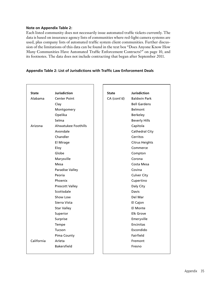#### **Note on Appendix Table 2:**

Each listed community does not necessarily issue automated traffic tickets currently. The data is based on insurance agency lists of communities where red-light camera systems are used, plus company lists of automated traffic system client communities. Further discussion of the limitations of this data can be found in the text box "Does Anyone Know How Many Communities Have Automated Traffic Enforcement Contracts?" on page 10, and its footnotes. The data does not include contracting that began after September 2011.

#### **Appendix Table 2: List of Jurisdictions with Traffic Law Enforcement Deals**

| <b>State</b> | <b>Jurisdiction</b>    | <b>State</b> | <b>Jurisdiction</b>   |
|--------------|------------------------|--------------|-----------------------|
| Alabama      | <b>Center Point</b>    | CA (cont'd)  | <b>Baldwin Park</b>   |
|              | Clay                   |              | <b>Bell Gardens</b>   |
|              | Montgomery             |              | <b>Belmont</b>        |
|              | Opelika                |              | Berkeley              |
|              | Selma                  |              | <b>Beverly Hills</b>  |
| Arizona      | Ahwatukee Foothills    |              | Capitola              |
|              | Avondale               |              | <b>Cathedral City</b> |
|              | Chandler               |              | Cerritos              |
|              | El Mirage              |              | <b>Citrus Heights</b> |
|              | Eloy                   |              | Commerce              |
|              | Globe                  |              | Compton               |
|              | Marysville             |              | Corona                |
|              | Mesa                   |              | Costa Mesa            |
|              | <b>Paradise Valley</b> |              | Covina                |
|              | Peoria                 |              | <b>Culver City</b>    |
|              | Phoenix                |              | Cupertino             |
|              | <b>Prescott Valley</b> |              | Daly City             |
|              | Scottsdale             |              | Davis                 |
|              | Show Low               |              | Del Mar               |
|              | Sierra Vista           |              | El Cajon              |
|              | <b>Star Valley</b>     |              | El Monte              |
|              | Superior               |              | <b>Elk Grove</b>      |
|              | Surprise               |              | Emeryville            |
|              | Tempe                  |              | Encinitas             |
|              | Tucson                 |              | Escondido             |
|              | Pima County            |              | Fairfield             |
| California   | Arleta                 |              | Fremont               |
|              | <b>Bakersfield</b>     |              | Fresno                |
|              |                        |              |                       |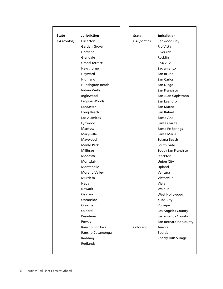| <b>State</b> | <b>Jurisdiction</b>  | <b>State</b> | <b>Jurisdiction</b>   |
|--------------|----------------------|--------------|-----------------------|
| CA (cont'd)  | <b>Fullerton</b>     | CA (cont'd)  | Redwood City          |
|              | Garden Grove         |              | Rio Vista             |
|              | Gardena              |              | Riverside             |
|              | Glendale             |              | Rocklin               |
|              | <b>Grand Terrace</b> |              | Roseville             |
|              | Hawthorne            |              | Sacramento            |
|              | Hayward              |              | San Bruno             |
|              | Highland             |              | San Carlos            |
|              | Huntington Beach     |              | San Diego             |
|              | <b>Indian Wells</b>  |              | San Francisco         |
|              | Inglewood            |              | San Juan Capistrano   |
|              | Laguna Woods         |              | San Leandro           |
|              | Lancaster            |              | San Mateo             |
|              | Long Beach           |              | San Rafael            |
|              | Los Alamitos         |              | Santa Ana             |
|              | Lynwood              |              | Santa Clarita         |
|              | Manteca              |              | Santa Fe Springs      |
|              | Marysville           |              | Santa Maria           |
|              | Maywood              |              | Solana Beach          |
|              | <b>Menlo Park</b>    |              | South Gate            |
|              | Millbrae             |              | South San Francisco   |
|              | Modesto              |              | Stockton              |
|              | Montclair            |              | <b>Union City</b>     |
|              | Montebello           |              | Upland                |
|              | Moreno Valley        |              | Ventura               |
|              | Murrieta             |              | Victorville           |
|              | Napa                 |              | Vista                 |
|              | Newark               |              | Walnut                |
|              | Oakland              |              | West Hollywood        |
|              | Oceanside            |              | Yuba City             |
|              | Oroville             |              | Yucaipa               |
|              | Oxnard               |              | Los Angeles County    |
|              | Pasadena             |              | Sacramento County     |
|              | Poway                |              | San Bernardino County |
|              | Rancho Cordova       | Colorado     | Aurora                |
|              | Rancho Cucamonga     |              | <b>Boulder</b>        |
|              | Redding              |              | Cherry Hills Village  |
|              | <b>Redlands</b>      |              |                       |
|              |                      |              |                       |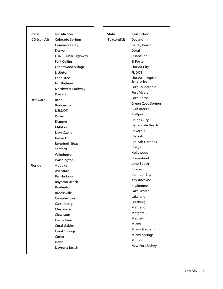| State<br>CO (cont'd) | <b>Jurisdiction</b><br>Colorado Springs | <b>State</b><br>FL (conti'd) | <b>Jurisdiction</b><br>DeLand |
|----------------------|-----------------------------------------|------------------------------|-------------------------------|
|                      | <b>Commerce City</b>                    |                              | Delray Beach                  |
|                      | Denver                                  |                              | Doral                         |
|                      | E-470 Public Highway                    |                              | Dunnellon                     |
|                      | <b>Fort Collins</b>                     |                              | El Portal                     |
|                      | <b>Greenwood Village</b>                |                              | Florida City                  |
|                      | Littleton                               |                              | <b>FL DOT</b>                 |
|                      | Lone Tree                               |                              | Florida Turnpike              |
|                      | Northglenn                              |                              | Enterprise                    |
|                      | Northwest Parkway                       |                              | Fort Lauderdale               |
|                      | Pueblo                                  |                              | Fort Myers                    |
| Delaware             | Bear                                    |                              | <b>Fort Pierce</b>            |
|                      | <b>Bridgeville</b>                      |                              | <b>Green Cove Springs</b>     |
|                      | <b>DELDOT</b>                           |                              | <b>Gulf Breeze</b>            |
|                      | Dover                                   |                              | Gulfport                      |
|                      | Elsmere                                 |                              | <b>Haines City</b>            |
|                      | Millsboro                               |                              | Hallandale Beach              |
|                      | <b>New Castle</b>                       |                              | Haverhill                     |
|                      | <b>Newark</b>                           |                              | Hialeah                       |
|                      | <b>Rehoboth Beach</b>                   |                              | <b>Hialeah Gardens</b>        |
|                      | Seaford                                 |                              | Holly Hill                    |
|                      | Wilmington                              |                              | Hollywood                     |
|                      | Washington                              |                              | Homestead                     |
| Florida              | Apopka                                  |                              | Juno Beach                    |
|                      | Aventura                                |                              | Jupiter                       |
|                      | <b>Bal Harbour</b>                      |                              | Kenneth City                  |
|                      | <b>Boynton Beach</b>                    |                              | Key Biscayne                  |
|                      | <b>Bradenton</b>                        |                              | Kissimmee                     |
|                      | <b>Brooksville</b>                      |                              | Lake Worth                    |
|                      | Campbellton                             |                              | Lakeland                      |
|                      | Casselberry                             |                              | Leesburg                      |
|                      | Clearwater                              |                              | Maitland                      |
|                      | Clewiston                               |                              | Margate                       |
|                      | Cocoa Beach                             |                              | Medley                        |
|                      | <b>Coral Gables</b>                     |                              | Miami                         |
|                      | <b>Coral Springs</b>                    |                              | Miami Gardens                 |
|                      | Cutler                                  |                              | Miami Springs                 |
|                      | Davie                                   |                              | Milton                        |
|                      | Daytona Beach                           |                              | New Port Richey               |
|                      |                                         |                              |                               |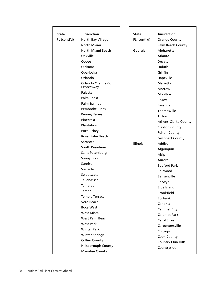| <b>State</b> | <b>Jurisdiction</b>   | <b>State</b>    | <b>Jurisdiction</b>         |
|--------------|-----------------------|-----------------|-----------------------------|
| FL (conti'd) | North Bay Village     | FL (conti'd)    | <b>Orange County</b>        |
|              | North Miami           |                 | Palm Beach County           |
|              | North Miami Beach     | Georgia         | Alpharetta                  |
|              | Oakville              |                 | Atlanta                     |
|              | Ocoee                 |                 | Decatur                     |
|              | Oldsmar               |                 | Duluth                      |
|              | Opa-locka             |                 | Griffin                     |
|              | Orlando               |                 | Hapeville                   |
|              | Orlando Orange Co.    |                 | Marietta                    |
|              | Expressway            |                 | Morrow                      |
|              | Palatka               |                 | Moultrie                    |
|              | Palm Coast            |                 | Roswell                     |
|              | Palm Springs          |                 | Savannah                    |
|              | <b>Pembroke Pines</b> |                 | Thomasville                 |
|              | <b>Penney Farms</b>   |                 | Tifton                      |
|              | Pinecrest             |                 | <b>Athens-Clarke County</b> |
|              | Plantation            |                 | Clayton County              |
|              | Port Richey           |                 | <b>Fulton County</b>        |
|              | Royal Palm Beach      |                 | <b>Gwinnett County</b>      |
|              | Sarasota              | <b>Illinois</b> | Addison                     |
|              | South Pasadena        |                 | Algonquin                   |
|              | Saint Petersburg      |                 | Alsip                       |
|              | Sunny Isles           |                 | Aurora                      |
|              | Sunrise               |                 | <b>Bedford Park</b>         |
|              | Surfside              |                 | Bellwood                    |
|              | Sweetwater            |                 | Bensenville                 |
|              | Tallahassee           |                 | Berwyn                      |
|              | Tamarac               |                 | <b>Blue Island</b>          |
|              | Tampa                 |                 | Brookfield                  |
|              | Temple Terrace        |                 | <b>Burbank</b>              |
|              | Vero Beach            |                 | Cahokia                     |
|              | <b>Boca West</b>      |                 | <b>Calumet City</b>         |
|              | West Miami            |                 | <b>Calumet Park</b>         |
|              | West Palm Beach       |                 | Carol Stream                |
|              | <b>West Park</b>      |                 | Carpentersville             |
|              | <b>Winter Park</b>    |                 | Chicago                     |
|              | <b>Winter Springs</b> |                 | Cook County                 |
|              | <b>Collier County</b> |                 | Country Club Hills          |
|              | Hillsborough County   |                 | Countryside                 |
|              | <b>Manatee County</b> |                 |                             |

Г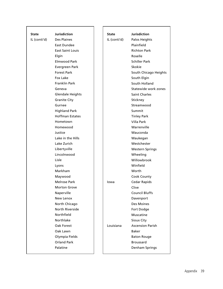| State        | <b>Jurisdiction</b>           | State        | <b>Jurisdiction</b>     |
|--------------|-------------------------------|--------------|-------------------------|
| IL (conti'd) | Des Plaines                   | IL (conti'd) | Palos Heights           |
|              | East Dundee                   |              | Plainfield              |
|              | <b>East Saint Louis</b>       |              | <b>Richton Park</b>     |
|              | Elgin                         |              | Roselle                 |
|              | Elmwood Park                  |              | <b>Schiller Park</b>    |
|              | Evergreen Park                |              | Skokie                  |
|              | <b>Forest Park</b>            |              | South Chicago Heights   |
|              | Fox Lake                      |              | South Elgin             |
|              | <b>Franklin Park</b>          |              | South Holland           |
|              | Geneva                        |              | Statewide work zones    |
|              |                               |              | <b>Saint Charles</b>    |
|              | <b>Glendale Heights</b>       |              |                         |
|              | <b>Granite City</b><br>Gurnee |              | Stickney<br>Streamwood  |
|              |                               |              | Summit                  |
|              | <b>Highland Park</b>          |              |                         |
|              | <b>Hoffman Estates</b>        |              | <b>Tinley Park</b>      |
|              | Hometown                      |              | <b>Villa Park</b>       |
|              | Homewood                      |              | Warrenville             |
|              | Justice                       |              | Wauconda                |
|              | Lake in the Hills             |              | Waukegan                |
|              | Lake Zurich                   |              | Westchester             |
|              | Libertyville                  |              | <b>Western Springs</b>  |
|              | Lincolnwood                   |              | Wheeling                |
|              | Lisle                         |              | Willowbrook             |
|              | Lyons                         |              | Winfield                |
|              | Markham                       |              | Worth                   |
|              | Maywood                       |              | Cook County             |
|              | <b>Melrose Park</b>           | lowa         | Cedar Rapids            |
|              | <b>Morton Grove</b>           |              | Clive                   |
|              | Naperville                    |              | <b>Council Bluffs</b>   |
|              | New Lenox                     |              | Davenport               |
|              | North Chicago                 |              | Des Moines              |
|              | <b>North Riverside</b>        |              | Fort Dodge              |
|              | Northfield                    |              | Muscatine               |
|              | Northlake                     |              | Sioux City              |
|              | Oak Forest                    | Louisiana    | <b>Ascension Parish</b> |
|              | Oak Lawn                      |              | Baker                   |
|              | Olympia Fields                |              | <b>Baton Rouge</b>      |
|              | <b>Orland Park</b>            |              | <b>Broussard</b>        |
|              | Palatine                      |              | Denham Springs          |
|              |                               |              |                         |

Г

┑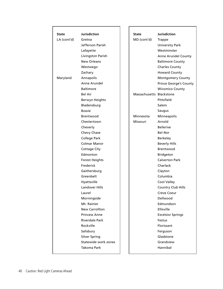| <b>State</b> | <b>Jurisdiction</b>                 | State                    | <b>Jurisdiction</b>           |
|--------------|-------------------------------------|--------------------------|-------------------------------|
| LA (cont'd)  | Gretna                              | MD (cont'd)              | Trappe                        |
|              | Jefferson Parish                    |                          | <b>University Park</b>        |
|              | Lafayette                           |                          | Westminster                   |
|              | Livingston Parish                   |                          | Anne Arundel County           |
|              | <b>New Orleans</b>                  |                          | <b>Baltimore County</b>       |
|              | Westwego                            |                          | <b>Charles County</b>         |
|              | Zachary                             |                          | <b>Howard County</b>          |
| Maryland     | Annapolis                           |                          | <b>Montgomery County</b>      |
|              | Anne Arundel                        |                          | <b>Prince George's County</b> |
|              | <b>Baltimore</b>                    |                          | <b>Wicomico County</b>        |
|              | Bel Air                             | Massachusetts Blackstone |                               |
|              | Berwyn Heights                      |                          | Pittsfield                    |
|              | Bladensburg                         |                          | Salem                         |
|              | <b>Bowie</b>                        |                          | Saugus                        |
|              | <b>Brentwood</b>                    | Minnesota                | Minneapolis                   |
|              | Chestertown                         | Missouri                 | Arnold                        |
|              |                                     |                          | <b>Bellerive</b>              |
|              | Cheverly<br>Chevy Chase             |                          | <b>Bel-Nor</b>                |
|              |                                     |                          |                               |
|              | College Park<br><b>Colmar Manor</b> |                          | <b>Berkeley</b>               |
|              |                                     |                          | <b>Beverly Hills</b>          |
|              | <b>Cottage City</b>                 |                          | Brentwood                     |
|              | Edmonton                            |                          | <b>Bridgeton</b>              |
|              | <b>Forest Heights</b>               |                          | <b>Calverton Park</b>         |
|              | Frederick                           |                          | Charlack                      |
|              | Gaithersburg                        |                          | Clayton                       |
|              | Greenbelt                           |                          | Columbia                      |
|              | Hyattsville                         |                          | Cool Valley                   |
|              | <b>Landover Hills</b>               |                          | <b>Country Club Hills</b>     |
|              | Laurel                              |                          | Creve Coeur                   |
|              | Morningside                         |                          | Dellwood                      |
|              | Mt. Rainier                         |                          | Edmundson                     |
|              | <b>New Carrollton</b>               |                          | Ellisville                    |
|              | <b>Princess Anne</b>                |                          | <b>Excelsior Springs</b>      |
|              | <b>Riverdale Park</b>               |                          | Festus                        |
|              | Rockville                           |                          | Florissant                    |
|              | Salisbury                           |                          | Ferguson                      |
|              | <b>Silver Spring</b>                |                          | Gladstone                     |
|              | Statewide work zones                |                          | Grandview                     |
|              | Takoma Park                         |                          | Hannibal                      |
|              |                                     |                          |                               |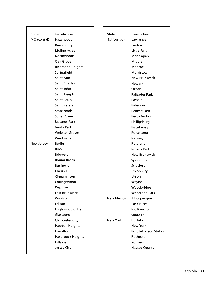| <b>State</b> | <b>Jurisdiction</b>      | State             | <b>Jurisdiction</b>    |
|--------------|--------------------------|-------------------|------------------------|
| MO (cont'd)  | Hazelwood                | NJ (cont'd)       | Lawrence               |
|              | Kansas City              |                   | Linden                 |
|              | <b>Moline Acres</b>      |                   | Little Falls           |
|              | <b>Northwoods</b>        |                   | Manalapan              |
|              | Oak Grove                |                   | Middle                 |
|              | <b>Richmond Heights</b>  |                   | Monroe                 |
|              | Springfield              |                   | Morristown             |
|              | Saint Ann                |                   | <b>New Brunswick</b>   |
|              | <b>Saint Charles</b>     |                   | <b>Newark</b>          |
|              | Saint John               |                   | Ocean                  |
|              | Saint Joseph             |                   | Palisades Park         |
|              | <b>Saint Louis</b>       |                   | Passaic                |
|              | <b>Saint Peters</b>      |                   | Paterson               |
|              | State roads              |                   | Pennsauken             |
|              | <b>Sugar Creek</b>       |                   | Perth Amboy            |
|              | <b>Uplands Park</b>      |                   | Phillipsburg           |
|              | Vinita Park              |                   | Piscataway             |
|              | <b>Webster Groves</b>    |                   | Pohatcong              |
|              | Wentzville               |                   | Rahway                 |
| New Jersey   | <b>Berlin</b>            |                   | Roseland               |
|              | <b>Brick</b>             |                   | Roselle Park           |
|              | <b>Bridgeton</b>         |                   | <b>New Brunswick</b>   |
|              | <b>Bound Brook</b>       |                   | Springfield            |
|              | Burlington               |                   | Stratford              |
|              | Cherry Hill              |                   | <b>Union City</b>      |
|              | Cinnaminson              |                   | Union                  |
|              | Collingswood             |                   | Wayne                  |
|              | Deptford                 |                   | Woodbridge             |
|              | <b>East Brunswick</b>    |                   | <b>Woodland Park</b>   |
|              | Windsor                  | <b>New Mexico</b> | Albuquerque            |
|              | Edison                   |                   | Las Cruces             |
|              | <b>Englewood Cliffs</b>  |                   | Rio Rancho             |
|              | Glassboro                |                   | Santa Fe               |
|              | Gloucester City          | New York          | <b>Buffalo</b>         |
|              | <b>Haddon Heights</b>    |                   | New York               |
|              | Hamilton                 |                   | Port Jefferson Station |
|              | <b>Hasbrouck Heights</b> |                   | Rochester              |
|              | Hillside                 |                   | Yonkers                |
|              | Jersey City              |                   | Nassau County          |
|              |                          |                   |                        |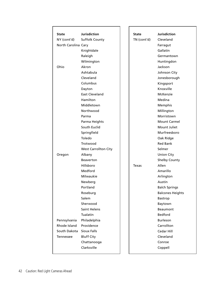| <b>State</b>        | <b>Jurisdiction</b>         | State       | <b>Jurisdiction</b>     |
|---------------------|-----------------------------|-------------|-------------------------|
| NY (cont'd)         | <b>Suffolk County</b>       | TN (cont'd) | Cleveland               |
| North Carolina Cary |                             |             | Farragut                |
|                     | Knightdale                  |             | Gallatin                |
|                     | Raleigh                     |             | Germantown              |
|                     | Wilmington                  |             | Huntingdon              |
| Ohio                | Akron                       |             | Jackson                 |
|                     | Ashtabula                   |             | Johnson City            |
|                     | Cleveland                   |             | Jonesborough            |
|                     | Columbus                    |             | Kingsport               |
|                     | Dayton                      |             | Knoxville               |
|                     | <b>East Cleveland</b>       |             | McKenzie                |
|                     | Hamilton                    |             | Medina                  |
|                     | Middletown                  |             | Memphis                 |
|                     | Northwood                   |             | Millington              |
|                     | Parma                       |             | Morristown              |
|                     | Parma Heights               |             | <b>Mount Carmel</b>     |
|                     | South Euclid                |             | Mount Juliet            |
|                     | Springfield                 |             | Murfreesboro            |
|                     | Toledo                      |             | Oak Ridge               |
|                     | Trotwood                    |             | <b>Red Bank</b>         |
|                     | <b>West Carrollton City</b> |             | Selmer                  |
| Oregon              | Albany                      |             | <b>Union City</b>       |
|                     | <b>Beaverton</b>            |             | <b>Shelby County</b>    |
|                     | Hillsboro                   | Texas       | Allen                   |
|                     | Medford                     |             | Amarillo                |
|                     | Milwaukie                   |             | Arlington               |
|                     | Newberg                     |             | Austin                  |
|                     | Portland                    |             | <b>Balch Springs</b>    |
|                     | Roseburg                    |             | <b>Balcones Heights</b> |
|                     | Salem                       |             | Bastrop                 |
|                     | Sherwood                    |             | Baytown                 |
|                     | <b>Saint Helens</b>         |             | <b>Beaumont</b>         |
|                     | Tualatin                    |             | <b>Bedford</b>          |
| Pennsylvania        | Philadelphia                |             | Burleson                |
| Rhode Island        | Providence                  |             | Carrollton              |
| South Dakota        | <b>Sioux Falls</b>          |             | Cedar Hill              |
| Tennessee           | <b>Bluff City</b>           |             | Cleveland               |
|                     | Chattanooga                 |             | Conroe                  |
|                     | Clarksville                 |             | Coppell                 |
|                     |                             |             |                         |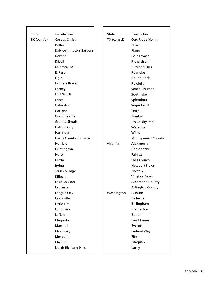|              |                                  |             | <b>Jurisdiction</b>      |
|--------------|----------------------------------|-------------|--------------------------|
| <b>State</b> | <b>Jurisdiction</b>              | State       |                          |
| TX (cont'd)  | Corpus Christi<br><b>Dallas</b>  | TX (cont'd) | Oak Ridge North<br>Pharr |
|              |                                  |             | Plano                    |
|              | Dalworthington Gardens<br>Denton |             | Port Lavaca              |
|              | Diboll                           |             | Richardson               |
|              |                                  |             | <b>Richland Hills</b>    |
|              | Duncanville                      |             |                          |
|              | El Paso                          |             | Roanoke                  |
|              | Elgin                            |             | <b>Round Rock</b>        |
|              | <b>Farmers Branch</b>            |             | Rowlett                  |
|              | Forney                           |             | South Houston            |
|              | Fort Worth                       |             | Southlake                |
|              | Frisco                           |             | Splendora                |
|              | Galveston                        |             | Sugar Land               |
|              | Garland                          |             | Terrell                  |
|              | <b>Grand Prairie</b>             |             | Tomball                  |
|              | <b>Granite Shoals</b>            |             | <b>University Park</b>   |
|              | <b>Haltom City</b>               |             | Watauga                  |
|              | Harlingen                        |             | <b>Willis</b>            |
|              | Harris County Toll Road          |             | <b>Montgomery County</b> |
|              | Humble                           | Virginia    | Alexandria               |
|              | Huntington                       |             | Chesapeake               |
|              | Hurst                            |             | Fairfax                  |
|              | Hutto                            |             | <b>Falls Church</b>      |
|              | Irving                           |             | <b>Newport News</b>      |
|              | Jersey Village                   |             | <b>Norfolk</b>           |
|              | Killeen                          |             | Virginia Beach           |
|              | Lake Jackson                     |             | <b>Albemarle County</b>  |
|              | Lancaster                        |             | <b>Arlington County</b>  |
|              | League City                      | Washington  | Auburn                   |
|              | Lewisville                       |             | <b>Bellevue</b>          |
|              | Little Elm                       |             | Bellingham               |
|              | Longview                         |             | <b>Bremerton</b>         |
|              | Lufkin                           |             | <b>Burien</b>            |
|              | Magnolia                         |             | Des Moines               |
|              | Marshall                         |             | Everett                  |
|              | McKinney                         |             | Federal Way              |
|              | Mesquite                         |             | Fife                     |
|              | Mission                          |             | Issaquah                 |
|              | <b>North Richland Hills</b>      |             | Lacey                    |
|              |                                  |             |                          |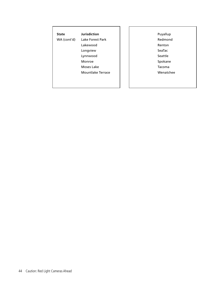| State       | Jurisdiction      |
|-------------|-------------------|
| WA (cont'd) | Lake Forest Park  |
|             | Lakewood          |
|             | Longview          |
|             | Lynnwood          |
|             | Monroe            |
|             | Moses Lake        |
|             | Mountlake Terrace |
|             |                   |
|             |                   |

Puyallup Redmond Renton SeaTac Seattle Spokane Tacoma Wenatchee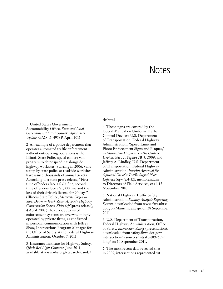# **Notes**

#### 1 United States Government Accountability Office, *State and Local Governments' Fiscal Outlook*: *April 2011 Update*, GAO-11-495SP, April 2011.

2 An example of a police department that operates automated traffic enforcement without outsourcing operations is the Illinois State Police speed camera van program to deter speeding alongside highway worksites. Starting in 2006, vans set up by state police at roadside worksites have issued thousands of annual tickets. According to a state press release, "First time offenders face a \$375 fine; second time offenders face a \$1,000 fine and the loss of their driver's license for 90 days". (Illinois State Police, *Motorists Urged to Slow Down in Work Zones As 2007 Highway Construction Season Kicks Off* (press release), 4 April 2007.) However, automated enforcement systems are overwhelmingly operated by private firms, as confirmed in personal communication with Jeffrey Shaw, Intersections Program Manager for the Office of Safety at the Federal Highway Administration, October 7, 2011.

3 Insurance Institute for Highway Safety, *Q&A: Red Light Cameras*, June 2011, available at www.iihs.org/research/qanda/

#### rlr.html.

4 These signs are covered by the federal Manual on Uniform Traffic Control Devices: U.S. Department of Transportation, Federal Highway Administration, "Speed Limit and Photo Enforcement Signs and Plaques," in *Manual on Uniform Traffic Control Devices,* Part 2, Figure 2B-3, 2009; and Jeffrey A. Lindley, U.S. Department of Transportation, Federal Highway Administration, *Interim Approval for Optional Use of a Traffic Signal Photo Enforced Sign (IA-12),* memorandum to Directors of Field Services, et al, 12 November 2010.

5 National Highway Traffic Safety Administration, *Fatality Analysis Reporting System*, downloaded from www-fars.nhtsa. dot.gov/Main/index.aspx on 28 September 2011.

6 U.S. Department of Transportation, Federal Highway Administration, Office of Safety, *Intersection Safety* (presentation), downloaded from safety.fhwa.dot.gov/ intersection/resources/intsafpst092609/ long/ on 10 September 2011.

7 The most recent data revealed that in 2009, intersections represented 40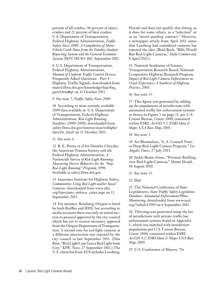percent of all crashes, 46 percent of injury crashes and 22 percent of fatal crashes. U.S. Department of Transportation, Federal Highway Administration, *Traffic Safety Facts 2009*: *A Compilation of Motor Vehicle Crash Data from the Fatality Analysis Reporting System and the General Estimates System*, DOT HS 811 402, September 2011.

8 U.S. Department of Transportation, Federal Highway Administration, *Manual of Uniform Traffic Control Devices,* Frequently Asked Questions - Part 4 - Highway Traffic Signals, downloaded from mutcd.fhwa.dot.gov/knowledge/faqs/faq\_ part4.htm#q1 on 11 October 2011.

9 See note 7, *Traffic Safety Facts 2009*.

10 According to most recently available 2009 data available at: U.S. Department of Transportation, Federal Highway Administration, *Red-Light Running Fatalities (2000-2009)*, downloaded from safety.fhwa.dot.gov/intersection/redlight/ data/rlr\_fatal/ on 11 October 2011.

11 See note 6.

12 B. E. Porter et al for Daimler Chrysler, the American Trauma Society and the Federal Highway Administration, *A Nationwide Survey of Red-Light Running: Measuring Driver Behaviors for the "Stop Red-Light Running" Program*, 1999. Available at safety.fhwa.dot.gov.

13 Insurance Institute for Highway Safety, *Communities Using Red Light and/or Speed Cameras*, downloaded from www.iihs. org/laws/auto\_enforce\_cities.aspx on 11 September 2011.

14 For instance, Roseburg, Oregon is listed by both Redflex and IIHS, but according to media accounts there was only an initial motion to proceed approved by the city council which has yet to receive necessary approval from the Oregon Department of Transportation. A second vote for red-light cameras at a different intersection was rejected by the city council in late September 2011. (Dan Bain, "Red Light Cam Gets a Red Light from City," *KPIC News*, 27 September 2011.) The U.S. client list from ATS includes Leesburg, Florida and does not qualify that listing, as it does for some others, as a "selection" or as an "award pending contract." However, a newspaper article from April 2011 states that Leesburg had considered cameras but rejected the idea. (Brad Buck, "Bills Would Ban Red-Light Cameras," *Daily Commercial*, 8 April 2011.)

15 National Academies of Science, Transportation Research Board, National Cooperative Highway Research Program, *Impact of Red Light Camera Enforcement on Crash Experience: A Synthesis of Highway Practice*, 2003.

16 See note 13.

17 This figure was generated by adding up the populations of jurisdictions with automated traffic law enforcement systems as shown in Figure 1 on page 11, per U.S. Census Bureau, *Census 2000*, contained within ESRI*, ArcGIS 9.2: ESRI Data & Maps: USA Base Map*, 2005.

18 See note 3.

19 Ari Bloomekatz, "L.A. Council Votes to Drop Red-Light Camera Program," *Los Angeles Times*, 27 July 2011.

20 Jackie Bueno Sousa, "Pressure Building over Red-Light Cameras," *Miami Herald*, 18 August 2010.

21 See note 13.

22 Ibid.

23 The National Conference of State Legislatures, *State Traffic Safety Legislation Database: Automated Enforcement/Photo Monitoring*, downloaded from www.ncsl. org/?tabid=13599 on 6 September 2011.

24 This map was generated using the list of jurisdictions with private traffic law enforcement systems found in Appendix 1, which was matched with jurisdiction populations per U.S. Census Bureau, *Census 2000*, contained within ESRI*, ArcGIS 9.2: ESRI Data & Maps: USA Base Map*, 2005.

25 U.S. Conference of Mayors, "In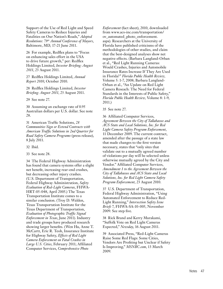Support of the Use of Red Light and Speed Safety Cameras to Reduce Injuries and Fatalities on Our Nation's Roads," *Adopted Resolutions: 79th Annual Conference of Mayors*, Baltimore, MD, 17-21 June 2011.

26 For example, Redflex plans to "Focus on enhancing sales effort in the USA to drive future growth," per: Redflex Holdings Limited, *Investor Briefing: August 2011*, 23 August 2011.

27 Redflex Holdings Limited, *Annual Report 2010*, October 2010.

28 Redflex Holdings Limited, *Investor Briefing: August 2011*, 23 August 2011.

29 See note 27.

30 Assuming an exchange rate of 0.95 Australian dollars per U.S. dollar. See note 28.

31 American Traffic Solutions, *28 Communities Sign or Extend Contracts with American Traffic Solutions in 2nd Quarter for Road Safety Camera Programs* (press release), 8 July 2011.

32 Ibid.

33 See note 28.

34 The Federal Highway Administration has found that camera systems offer a slight net benefit, increasing rear-end crashes, but decreasing other injury crashes. (U.S. Department of Transportation, Federal Highway Administration, *Safety Evaluation of Red-Light Cameras*, FHWA-HRT-05-048, April 2005.) The Texas Transportation Institute comes to a similar conclusion. (Troy D. Walden, Texas Transportation Institute for the Texas Department of Transportation, *Evaluation of Photographic Traffic Signal Enforcement in Texas*, June 2011). Industry and trade groups have produced research showing larger benefits. (Wen Hu, Anne T. McCartt, Eric R. Teoh, Insurance Institute for Highway Safety, *Effects of Red Light Camera Enforcement on Fatal Crashes in Large U.S. Cities*, February 2011; Affiliated Computer Services, *Comprehensive Photo* 

*Enforcement* (fact sheet), 2010, downloaded from www.acs-inc.com/transportation/ ov\_automated\_photo\_enforcement. aspx). Researchers at the University of Florida have published criticisms of the methodologies of other studies, and claim that the best-designed analyses show net negative effects. (Barbara Langland-Orban et al., "Red Light Running Cameras: Would Crashes, Injuries and Automobile Insurance Rates Increase If They Are Used in Florida?" *Florida Public Health Review,* Volume 5: 1-7, 2008; Barbara Langland-Orban et al., "An Update on Red Light Camera Reseach: The Need for Federal Standards in the Interests of Public Safety," *Florida Public Health Review,* Volume 8: 1-9, 2011.)

35 See note 27.

36 Affiliated Computer Services, *Agreement Between the City of Tallahassee and ACS State and Local Solutions, Inc. for Red Light Camera Safety Program Enforcement*, 11 December 2009. The current contract, amended after the passage of a state law that made changes to the first version necessary, states that "only sites that validate out to a mutually agreed number of violations per day will be selected unless otherwise mutually agreed by the City and Vendor." Affiliated Computer Services, *Amendment 1 to the Agreement Between the City of Tallahassee and ACS State and Local Solutions, Inc. for Red Light Camera Safety Program Enforcement*, 23 August 2010.

37 U.S. Department of Transportation, Federal Highway Administration, "Using Automated Enforcement to Reduce Red-Light Running," *Intersection Safety Issue Briefs* 7, FHWA-SA-10-005, November 2009. See step five.

38 Rick Brand and Kerry Murakami, "Suffolk Vote on Red Light Cameras Expected," *Newsday*, 16 August 2011.

39 Associated Press, "Red-Light Cameras Raise Some Red Flags: Some Cities, Vendors Are Profiting but Unclear if Safety Is Improving," *MSNBC.com*, 13 March 2009.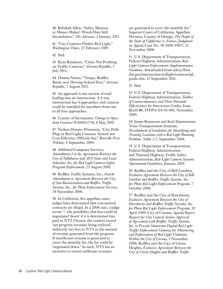40 Rebekah Allen, "Safety Measure or Money-Maker? Wreck Data Still Inconclusive," *The Advocate*, 2 January 2011.

41 "City Contract Flashes Red Light," *Washington Times*, 22 February 2005.

42 Ibid.

43 Ryan Randazzo, "Cities Not Profiting on Traffic Cameras," *Arizona Republic*, 3 July 2011.

44 Dianna Nanez, "Tempe, Redflex Battle over Driving-School Fees," *Arizona Republic*, 5 August 2011.

45 An approach is one section of road leading into an intersection. A 4-way intersection has 4 approaches, and cameras could be installed for anywhere from one to all four approaches.

46 County of Sacramento, *Change to Open Item Contract WA00023756*, 6 May 2010.

47 Nathan Donato-Weinstein, "City Pulls Plug on Red Light Cameras: System not Cost Effective, Officials Say," *Roseville Press Tribune*, 4 September 2009.

48 Affiliated Computer Services, *Amendment 1 to the Agreement Between the City of Tallahassee and ACS State and Local Solutions, Inc. for Red Light Camera Safety Program Enforcement*, 23 August 2010.

49 Redflex Traffic Systems, Inc., *Fourth Amendment to Agreement Between the City of San Buenaventura and Redflex Traffic Systems, Inc., for Photo Enforcement Services*, 24 November 2008.

50 In California, five appellate court judges have determined that cost-neutral contracts are illegal. In a 2008 case, a judge wrote: "...the possibility that fees could be negotiated 'down' if it is determined fees paid to NTS [Nestor, the vendor] exceed 'net program revenues being realized,' indirectly ties fees to NTS to the amount of revenue generated from the program. If insufficient revenue is generated to cover the monthly fee, the fee could be 'negotiated down.' As such, NTS has an incentive to ensure sufficient revenues

are generated to cover the monthly fee." Superior Court of California, Appellate Division, County of Orange, *The People of the State of California vs. Franco: Judgment on Appeal*, Case No. 30-2008-93057, 21 November 2008.

51 U.S. Department of Transportation, Federal Highway Administration, *Red-Light Camera Enforcement: Implementation Guidance*, downloaded from safety.fhwa. dot.gov/intersection/redlight/cameras/ipl\_ guide.cfm, 12 September 2011.

52 Ibid.

53 U.S. Department of Transportation, Federal Highway Administration, *Toolbox of Countermeasures and Their Potential Effectiveness for Intersection Crashes*, Issue Briefs #8, FHWA-SA-10-005, November 2009.

54 James Bonneson and Karl Zimmerman, Texas Transportation Institute, *Development of Guidelines for Identifying and Treating Locations with a Red Light Running Problem*, Table 2.2, September 2004.

55 U.S. Department of Transportation, Federal Highway Administration and National Highway Traffic Safety Administration, *Red-Light Camera Systems Operational Guidelines*, January 2005.

56 Redflex and the City of Bell Gardens, *Exclusive Agreement Between the City of Bell Gardens and Redflex Traffic Systems, Inc. for Photo Red Light Enforcement Program*, 7 October 2008.

57 Redflex and the City of Hawthorne, *Exclusive Agreement Between the City of Hawthorne and Redflex Traffic Systems, Inc. for Photo Red Light Enforcement Program,* 19 April 2009; City of Corona, *Agenda Report: Request for City Council Action: Approval of Agreement with Redflex Traffic Systems Inc. to Provide Smartcam Digital Red Light Traffic Enforcement Cameras for Monitoring and Enforcement of Red Light Violations Within the City of Corona*, 5 November 2008; Redflex and the City of Citrus Heights, *Exclusive Agreement Between the City of Citrus Heights and Redflex Traffic*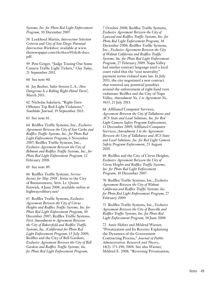*Systems, Inc. for Photo Red Light Enforcement Program,* 10 December 2007.

58 Lockheed Martin, *Intersection Selection Criteria* and *City of San Diego: Potential Intersection Worksheet*, available at www. thenewspaper.com/rlc/docs/01rlcdt-docs. pdf.

59 Pete Geiger, "Judge Tossing Out Some Camera Traffic Light Tickets," *Clay Today*, 21 September 2011.

60 See note 40.

61 Jay Beeber, Safer Streets L.A., *How Dangerous Is a Rolling Right-Hand Turn?*, March 2011.

62 Nicholas Sakelaris, "Right-Turn Offenses Top Red-Light Violations," *Southlake Journal*, 19 September 2011.

63 See note 61.

64 Redflex Traffic Systems, Inc., *Exclusive Agreement Between the City of San Carlos and Redflex Traffic Systems, Inc., for Photo Red Light Enforcement Program*, 6 November 2007; Redflex Traffic Systems, Inc., *Exclusive Agreement Between the City of Belmont and Redflex Traffic Systems, Inc., for Photo Red Light Enforcement Program*, 12 February 2008.

65 See note 49.

66 Redflex Traffic Systems, *Service Invoice for May 2008* , letter to the City of Buenaventura, Attn. Lt. Quinn Fenwick, 4 June 2008, available online at highwayrobbery.net/

67 Redflex Traffic Systems, *Exclusive Agreement Between the City of Citrus Heights and Redflex Traffic Systems, Inc. for Photo Red Light Enforcement Program,* 10 December 2007; Redflex Traffic Systems, *First Amendment to Agreement Between the City of Bakersfield and Redflex Traffic Systems, Inc. (California) for Photo Red Light Enforcement Program,* 15 July 2009; Redflex and the City of Bell Gardens, *Exclusive Agreement Between the City of Bell Gardens and Redflex Traffic Systems, Inc. for Photo Red Light Enforcement Program*,

7 October 2008; Redflex Traffic Systems, *Exclusive Agreement Between the City of Lynwood and Redflex Traffic Systems, Inc. for Photo Red Light Enforcement Program,* 18 December 2008; Redflex Traffic Systems, Inc., *Exclusive Agreement Between the City of Walnut California and Redflex Traffic Systems, Inc. for Photo Red Light Enforcement Program*, 27 February 2009. Napa Valley had similar contract language until a local court ruled that the "cost neutrality" payment terms violated state law. In July 2011, the city negotiated a new contract that removed any potential penalties around the enforcement of right hand turn violations: Redflex and the City of Napa Valley, *Amendment No. 1 to Agreement No. 9613*, 21 July 2011.

68 Affiliated Computer Services, *Agreement Between the City of Tallahassee and ACS State and Local Solutions, Inc. for Red Light Camera Safety Program Enforcement*, 11 December 2009; Affiliated Computer Services, *Amendment 1 to the Agreement Between the City of Tallahassee and ACS State and Local Solutions, Inc. for Red Light Camera Safety Program Enforcement*, 23 August 2010.

69 Redflex and the City of Citrus Heights, *Exclusive Agreement Between the City of Citrus Heights and Redflex Traffic Systems, Inc. for Photo Red Light Enforcement Program,* 10 December 2007.

70 Redflex Traffic Systems, Inc., *Exclusive Agreement Between the City of Walnut California and Redflex Traffic Systems, Inc. for Photo Red Light Enforcement Program*, 27 February 2009.

71 Redflex Traffic Systems, Inc., *Exclusive Agreement Between the City of Roseville and Redflex Traffic Systems, Inc. for Photo Red Light Enforcement Program*, 18 June 2008.

72 Amir Hefetz and Mildred Warner, "Privatization and Its Reverse: Explaining the Dynamics of the Government Contracting Process," *Journal of Public Administration, Research and Theory*, 14(2): 171-190, 2004. See also Warner, Mildred E. 2008. "Reversing Privatization,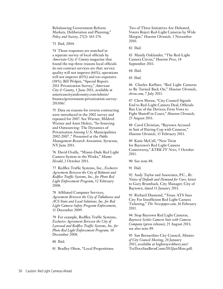Rebalancing Government Reform: Markets, Deliberation and Planning," *Policy and Society*, 27(2): 163-174.

73 Ibid, 2004.

74 Those responses are matched in a separate survey of local officials by *American City & County* magazine that found the top three reasons local officials do not contract services are that: service quality will not improve (66%), operations will not improve (63%) and too expensive (58%). Bill Wolpin, "Special Report: 2011 Privatization Survey," *American City & County*, 1 June 2011, available at americancityandcounty.com/admin/ finance/government-privatization-survey-201106/.

75 Data on reasons for reverse contracting were introduced in the 2002 survey and repeated for 2007. See Warner, Mildred Warner and Amir Hefetz, "In-Sourcing and Outsourcing: The Dynamics of Privatization Among U.S. Municipalities 2002-2007 ," Presented at the *Public Management Research Association,* Syracuse, NY June 2011.

76 David Ovalle, "Miami-Dade Red Light Camera System in the Works," *Miami Herald*, 2 October 2011.

77 Redflex Traffic Systems, Inc., *Exclusive Agreement Between the City of Belmont and Redflex Traffic Systems, Inc., for Photo Red Light Enforcement Program*, 12 February 2008.

78 Affiliated Computer Services, *Agreement Between the City of Tallahassee and ACS State and Local Solutions, Inc. for Red Light Camera Safety Program Enforcement*, 11 December 2009.

79 For example, Redflex Traffic Systems, *Exclusive Agreement Between the City of Lynwood and Redflex Traffic Systems, Inc. for Photo Red Light Enforcement Program,* 18 December 2008.

80 Ibid.

81 Bradley Olson, "Local Propositions:

Two of Three Initiatives Are Defeated; Voters Reject Red-Light Cameras by Wide Margin," *Houston Chronicle*, 3 November 2010.

82 Ibid.

83 Mandy Oaklander, "The Red-Light Camera Circus," *Houston Press*, 14 September 2011.

84 Ibid.

85 Ibid.

86 Charles Kuffner, "Red Light Cameras to Be Turned Back On," *Houston Chronicle*, *chron.com*, 7 July 2011.

87 Chris Moran, "City Council Signals End to Red-Light Camera Deal; Officials Ban Use of the Devices; Firm Vows to Fight Shutoff in Court," *Houston Chronicle*, 25 August 2011.

88 Carol Christian, "Baytown Accused in Suit of Pairing Cop with Cameras," *Houston Chronicle*, 15 February 2011.

89 Katie McCall, "New Twist for Baytown's Red Light Camera Controversy," *KTRK-TV News*, 5 October 2011.

90 See note 88.

91 Ibid.

92 Andy Taylor and Associates, P.C., *Re: Notice of Default and Demand for Cure*, letter to Gary Brumback, City Manager, City of Baytown, dated 11 January 2011.

93 Richard Diamond, "Texas: ATS Sues City For Insufficient Red Light Camera Ticketing," *The Newspaper.com*, 16 February 2011.

94 Stop Baytown Red Light Cameras, *Baytown Settles Camera Suit with Camera Company* (press release), 25 August 2011; see also note 89.

95 San Bernardino City Council, *Minutes of City Council Meeting*, 24 January 2011, available at highwayrobbery.net/ TrcDocsSanBernContr2011JanMins.pdf.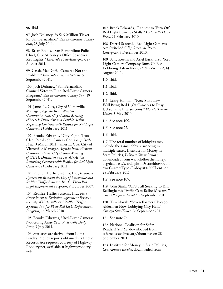96 Ibid.

97 Josh Dulaney, "A \$1.9 Million Ticket for San Bernardino," *San Bernardino County Sun*, 28 July 2011.

98 Brian Rokos, "San Bernardino: Police Chief, City Attorney's Office Spar over Red Lights," *Riverside Press-Enterprise*, 29 August 2011.

99 Cassie MacDuff, "Cameras Not the Problem," *Riverside Press Enterprise*, 5 September 2011.

100 Josh Dulaney, "San Bernardino Council Votes to Fund Red-Light Camera Program," *San Bernardino County Sun*, 19 September 2011.

101 James L. Cox, City of Victorville Manager, *Agenda Item: Written Communications: City Council Meeting of 3/1/11: Discussion and Possible Action Regarding Contract with Redflex for Red Light Cameras*, 23 February 2011.

102 Brooke Edwards, "City Fights 'Iron-Clad' Red-Light Camera Contract," *Daily Press*, 3 March 2011; James L. Cox, City of Victorville Manager, *Agenda Item: Written Communications: City Council Meeting of 3/1/11: Discussion and Possible Action Regarding Contract with Redflex for Red Light Cameras*, 23 February 2011.

103 Redflex Traffic Systems, Inc., *Exclusive Agreement Between the City of Victorville and Redflex Traffic Systems, Inc. for Photo Red Light Enforcement Program*, 9 October 2007.

104 Redflex Traffic Systems, Inc., *First Amendment to Exclusive Agreement Between the City of Victorville and Redflex Traffic Systems, Inc. for Photo Red Light Enforcement Program*, 16 March 2010.

105 Brooke Edwards, "Red-Light Cameras Not Going Away Yet," *Victorville Daily Press*, 3 July 2011.

106 Statistics are derived from Loma Linda's Redflex reports obtained via Public Records Act requests courtesy of Highway Robbery.net, available at highwayrobbery. net/

107 Brook Edwards, "Request to Turn Off Red Light Cameras Stalls," *Victorville Daily Press*, 21 February 2010.

108 Darrel Santchi, "Red Light Cameras Are Switched Off," *Riverside Press-Enterprise*, 5 December 2010.

109 Sally Kestin and Ariel Barkhurst, "Red Light Camera Company Runs Up Big Lobbying Tab in Florida," *Sun-Sentinel*, 14 August 2011.

110 Ibid.

111 Ibid.

112 Ibid.

113 Larry Hannan, "New State Law Will Bring Red Light Cameras to Busy Jacksonville Intersections," *Florida Times-Union*, 3 May 2010.

114 See note 109.

115 See note 27.

116 Ibid.

117 The total number of lobbyists may include the same lobbyist working in multiple states. Institute for Money in State Politics, *Lobbyist Client Results*, downloaded from www.followthemoney. org/database/search.phtml?searchbox=redfl ex&CurrentType=Lobbyist%20Clients on 28 February 2011.

118 See note 109.

119 John Stark, "ATS Still Seeking to Kill Bellingham's Traffic Cam Ballot Measure," *The Bellingham Herald*, 8 September 2011.

120 Tim Novak, "Seven Former Chicago Aldermen Now Lobbying City Hall," *Chicago Sun-Times*, 26 September 2011.

121 See note 76.

122 National Coalition for Safer Roads, *About Us*, downloaded from saferoadssavelives.org/about-us/ on 28 September 2011.

123 Institute for Money in State Politics, *Contributors Results*, downloaded from